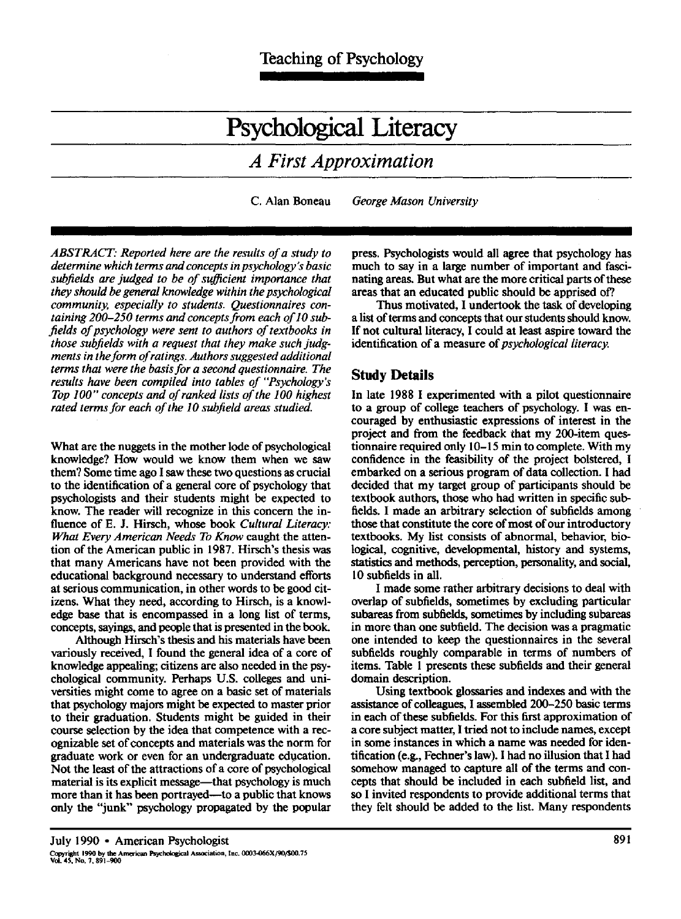II

# **Psychological Literacy**

# *A First Approximation*

C. Alan Boneau *George Mason University* 

*ABSTRACT." Reported here are the results of a study to determine which terms and concepts in psychology's basic*  subfields are judged to be of sufficient importance that *they should be general knowledge within the psychological community, especially to students. Questionnaires containing 200-250 terms and concepts from each of lO subfields of psychology were sent to authors of textbooks in those subfields with a request that they make such judgments in the form of ratings. Authors suggested additional terms that were the basis for a second questionnaire. The results have been compiled into tables of "Psychology's Top 100" concepts and of ranked lists of the 100 highest rated terms for each of the 10 subfield areas studied.* 

What are the nuggets in the mother lode of psychological knowledge? How would we know them when we saw them? Some time ago I saw these two questions as crucial to the identification of a general core of psychology that psychologists and their students might be expected to know. The reader will recognize in this concern the influence of E. J. Hirsch, whose book *Cultural Literacy: What Every American Needs To Know* caught the attention of the American public in 1987. Hirsch's thesis was that many Americans have not been provided with the educational background necessary to understand efforts at serious communication, in other words to be good citizens. What they need, according to Hirsch, is a knowledge base that is encompassed in a long list of terms, concepts, sayings, and people that is presented in the book.

Although Hirsch's thesis and his materials have been variously received, I found the general idea of a core of knowledge appealing; citizens are also needed in the psychological community. Perhaps U.S. colleges and universities might come to agree on a basic set of materials that psychology majors might be expected to master prior to their graduation. Students might be guided in their course selection by the idea that competence with a recognizable set of concepts and materials was the norm for graduate work or even for an undergraduate education. Not the least of the attractions of a core of psychological material is its explicit message—that psychology is much more than it has been portrayed—to a public that knows only the "junk" psychology propagated by the popular

press. Psychologists would all agree that psychology has much to say in a large number of important and fascinating areas. But what are the more critical parts of these areas that an educated public should be apprised of?.

Thus motivated, I undertook the task of developing a list of terms and concepts that our students should know. If not cultural literacy, I could at least aspire toward the identification of a measure of psychological *literacy.* 

## **Study Details**

In late 1988 I experimented with a pilot questionnaire to a group of college teachers of psychology. I was encouraged by enthusiastic expressions of interest in the project and from the feedback that my 200-item questionnaire required only 10–15 min to complete. With my confidence in the feasibility of the project bolstered, I embarked on a serious program of data collection. I had decided that my target group of participants should be textbook authors, those who had written in specific subfields. I made an arbitrary selection of subfields among those that constitute the core of most of our introductory textbooks. My list consists of abnormal, behavior, biological, cognitive, developmental, history and systems, statistics and methods, perception, personality, and social, 10 subfields in all.

I made some rather arbitrary decisions to deal with overlap of subfields, sometimes by excluding particular subareas from subfields, sometimes by including subareas in more than one subfield. The decision was a pragmatic one intended to keep the questionnaires in the several subfields roughly comparable in terms of numbers of items. Table 1 presents these subfields and their general domain description.

Using textbook glossaries and indexes and with the assistance of colleagues, I assembled 200-250 basic terms in each of these subfields. For this first approximation of a core subject matter, I tried not to include names, except in some instances in which a name was needed for identification (e.g., Fechner's law). I had no illusion that I had somehow managed to capture all of the terms and concepts that should be included in each subfield list, and so I invited respondents to provide additional terms that they felt should be added to the list. Many respondents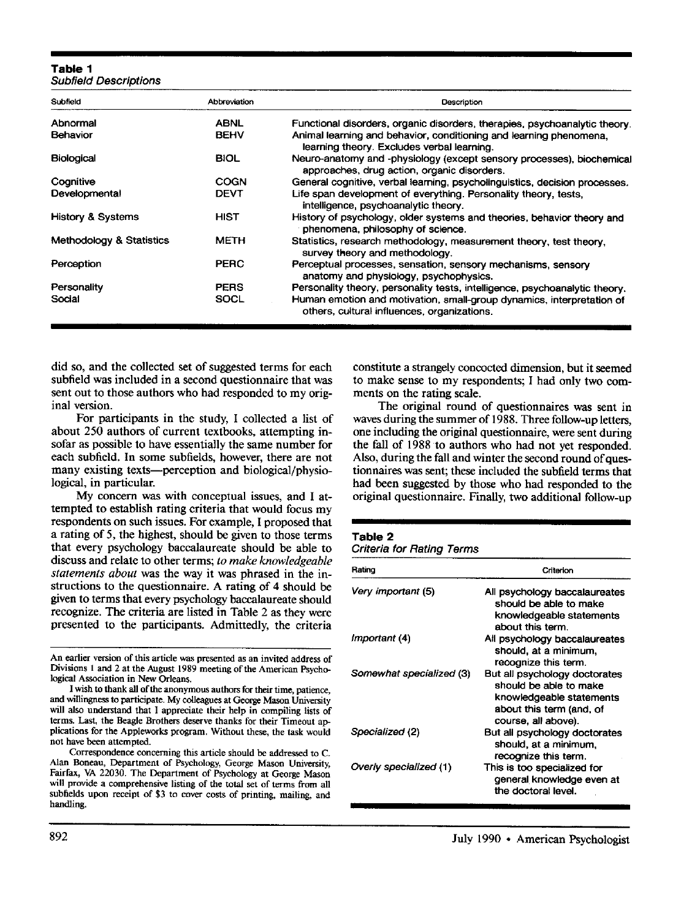#### **Table 1**  *Subfield Descriptions*

| Subfield                     | Abbreviation | Description                                                                                                          |
|------------------------------|--------------|----------------------------------------------------------------------------------------------------------------------|
| Abnormal                     | <b>ABNL</b>  | Functional disorders, organic disorders, therapies, psychoanalytic theory.                                           |
| <b>Behavior</b>              | <b>BEHV</b>  | Animal learning and behavior, conditioning and learning phenomena.<br>learning theory. Excludes verbal learning.     |
| <b>Biological</b>            | <b>BIOL</b>  | Neuro-anatomy and -physiology (except sensory processes), biochemical<br>approaches, drug action, organic disorders. |
| Cognitive                    | COGN         | General cognitive, verbal learning, psycholinguistics, decision processes.                                           |
| Developmental                | <b>DEVT</b>  | Life span development of everything. Personality theory, tests,<br>intelligence, psychoanalytic theory.              |
| <b>History &amp; Systems</b> | <b>HIST</b>  | History of psychology, older systems and theories, behavior theory and<br>phenomena, philosophy of science.          |
| Methodology & Statistics     | <b>METH</b>  | Statistics, research methodology, measurement theory, test theory,<br>survey theory and methodology.                 |
| Perception                   | <b>PERC</b>  | Perceptual processes, sensation, sensory mechanisms, sensory<br>anatomy and physiology, psychophysics.               |
| Personality                  | <b>PERS</b>  | Personality theory, personality tests, intelligence, psychoanalytic theory.                                          |
| Social                       | SOCL         | Human emotion and motivation, small-group dynamics, interpretation of<br>others, cultural influences, organizations. |

did so, and the collected set of suggested terms for each subfield was included in a second questionnaire that was sent out to those authors who had responded to my original version.

For participants in the study, I collected a list of about 250 authors of current textbooks, attempting insofar as possible to have essentially the same number for each subfield. In some subfields, however, there are not many existing texts--perception and biological/physiological, in particular.

My concern was with conceptual issues, and I attempted to establish rating criteria that would focus my respondents on such issues. For example, I proposed that a rating of 5, the highest, should be given to those terms that every psychology baccalaureate should be able to discuss and relate to other terms; *to make knowledgeable statements about* was the way it was phrased in the instructions to the questionnaire. A rating of 4 should be given to terms that every psychology baccalaureate should recognize. The criteria are listed in Table 2 as they were presented to the participants. Admittedly, the criteria

An earlier version of this article was presented as an invited address of Divisions 1 and 2 at the August 1989 meeting of the American Psychological Association in New Orleans.

I wish to thank all of the anonymous authors for their time, patience, and willingness to participate. My colleagues at George Mason University will also understand that I appreciate their help in compiling lists of terms. Last, the Beagle Brothers deserve thanks for their Timeout applications for the Appleworks program. Without these, the task would not have been attempted.

Correspondence concerning this article should be addressed to C. Alan Boneau, Department of Psychology, George Mason University, Fairfax, VA 22030. The Department of Psychology at George Mason will provide a comprehensive listing of the total set of terms from all subfields upon receipt of \$3 to cover costs of printing, mailing, and handling.

constitute a strangely concocted dimension, but it seemed to make sense to my respondents; I had only two comments on the rating scale.

The original round of questionnaires was sent in waves during the summer of 1988. Three follow-up letters, one including the original questionnaire, were sent during the fall of 1988 to authors who had not yet responded. Also, during the fall and winter the second round of questionnaires was sent; these included the subfield terms that had been suggested by those who had responded to the original questionnaire. Finally, two additional follow-up

#### **Table 2**

| <b>Criteria for Rating Terms</b> |  |  |  |
|----------------------------------|--|--|--|
|----------------------------------|--|--|--|

| Rating                   | Criterion                                                                                                                              |
|--------------------------|----------------------------------------------------------------------------------------------------------------------------------------|
| Very important (5)       | All psychology baccalaureates<br>should be able to make<br>knowledgeable statements<br>about this term.                                |
| Important (4)            | All psychology baccalaureates<br>should, at a minimum,<br>recognize this term.                                                         |
| Somewhat specialized (3) | But all psychology doctorates<br>should be able to make<br>knowledgeable statements<br>about this term (and, of<br>course, all above). |
| Specialized (2)          | But all psychology doctorates<br>should, at a minimum.<br>recognize this term.                                                         |
| Overly specialized (1)   | This is too specialized for<br>general knowledge even at<br>the doctoral level.                                                        |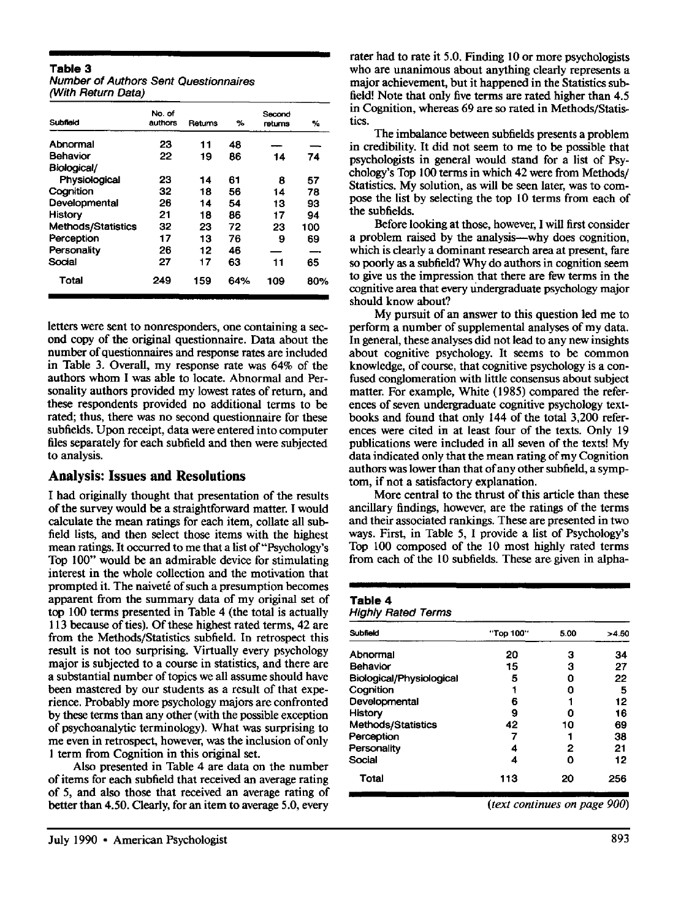#### **Table 3**

| <b>Number of Authors Sent Questionnaires</b> |  |
|----------------------------------------------|--|
| (With Return Data)                           |  |

| Subfield                  | No. of<br>authors | Returns | %   | Second<br>rotums | ℅   |
|---------------------------|-------------------|---------|-----|------------------|-----|
| Abnormal                  | 23                | 11      | 48  |                  |     |
| <b>Behavior</b>           | 22                | 19      | 86  | 14               | 74  |
| Biological/               |                   |         |     |                  |     |
| Physiological             | 23                | 14      | 61  | 8                | 57  |
| Cognition                 | 32                | 18      | 56  | 14               | 78  |
| Developmental             | 26                | 14      | 54  | 13               | 93  |
| History                   | 21                | 18      | 86  | 17               | 94  |
| <b>Methods/Statistics</b> | 32                | 23      | 72  | 23               | 100 |
| Perception                | 17                | 13      | 76  | 9                | 69  |
| Personality               | 26                | 12      | 46  |                  |     |
| Social                    | 27                | 17      | 63  | 11               | 65  |
| Total                     | 249               | 159     | 64% | 109              | 80% |

letters were sent to nonresponders, one containing a second copy of the original questionnaire. Data about the number of questionnaires and response rates are included in Table 3. Overall, my response rate was 64% of the authors whom I was able to locate. Abnormal and Personality authors provided my lowest rates of return, and these respondents provided no additional terms to be rated; thus, there was no second questionnaire for these subfields. Upon receipt, data were entered into computer files separately for each subfield and then were subjected to analysis.

#### **Analysis: Issues and Resolutions**

I had originally thought that presentation of the results of the survey would be a straightforward matter. I would calculate the mean ratings for each item, collate all subfield lists, and then select those items with the highest mean ratings. It occurred to me that a list of "Psychology's Top 100" would be an admirable device for stimulating interest in the whole collection and the motivation that prompted it. The naiveté of such a presumption becomes apparent from the summary data of my original set of top 100 terms presented in Table 4 (the total is actually 113 because of ties). Of these highest rated terms, 42 are from the Methods/Statistics subfield. In retrospect this result is not too surprising. Virtually every psychology major is subjected to a course in statistics, and there are a substantial number of topics we all assume should have been mastered by our students as a result of that experience. Probably more psychology majors are confronted by these terms than any other (with the possible exception of psychoanalytic terminology). What was surprising to me even in retrospect, however, was the inclusion of only 1 term from Cognition in this original set.

Also presented in Table 4 are data on the number of items for each subfield that received an average rating of 5, and also those that received an average rating of better than 4.50. Clearly, for an item to average 5.0, every

rater had to rate it 5.0. Finding 10 or more psychologists who are unanimous about anything clearly represents a major achievement, but it happened in the Statistics subfield! Note that only five terms are rated higher than 4.5 in Cognition, whereas 69 are so rated in Methods/Statistics.

The imbalance between subfields presents a problem in credibility. It did not seem to me to be possible that psychologists in general would stand for a list of Psychology's Top 100 terms in which 42 were from Methods/ Statistics. My solution, as will be seen later, was to compose the list by selecting the top 10 terms from each of the subfields.

Before looking at those, however, I will first consider a problem raised by the analysis--why does cognition, which is clearly a dominant research area at present, fare so poorly as a subfield? Why do authors in cognition seem to give us the impression that there are few terms in the cognitive area that every Undergraduate psychology major should know about?

My pursuit of an answer to this question led me to perform a number of supplemental analyses of my data. In general, these analyses did not lead to any new insights about cognitive psychology. It seems to be common knowledge, of course, that cognitive psychology is a confused conglomeration with little consensus about subject matter. For example, White (1985) compared the references of seven undergraduate cognitive psychology textbooks and found that only 144 of the total 3,200 references were cited in at least four of the texts. Only 19 publications were included in all seven of the texts! My data indicated only that the mean rating of my Cognition authors was lower than that of any other subfield, a symptom, if not a satisfactory explanation.

More central to the thrust of this article than these ancillary findings, however, are the ratings of the terms and their associated rankings. These are presented in two ways. First, in Table 5, I provide a list of Psychology's Top 100 composed of the 10 most highly rated terms from each of the 10 subfields. These are given in alpha-

# **Table 4**

*Highly Rated Terms* 

| Subfield                  | "Top 100" | 5.00 | >4.50 |
|---------------------------|-----------|------|-------|
| Abnormal                  | 20        | з    | 34    |
| Behavior                  | 15        | 3    | 27    |
| Biological/Physiological  | 5         | Ω    | 22    |
| Cognition                 |           | n    | 5     |
| Developmental             | 6         |      | 12    |
| <b>History</b>            | 9         |      | 16    |
| <b>Methods/Statistics</b> | 42        | 10   | 69    |
| Perception                |           |      | 38    |
| Personality               |           | 2    | 21    |
| Social                    | 4         | 0    | 12    |
| Total                     | 113       | 20   | 256   |

*(text continues on page 900)*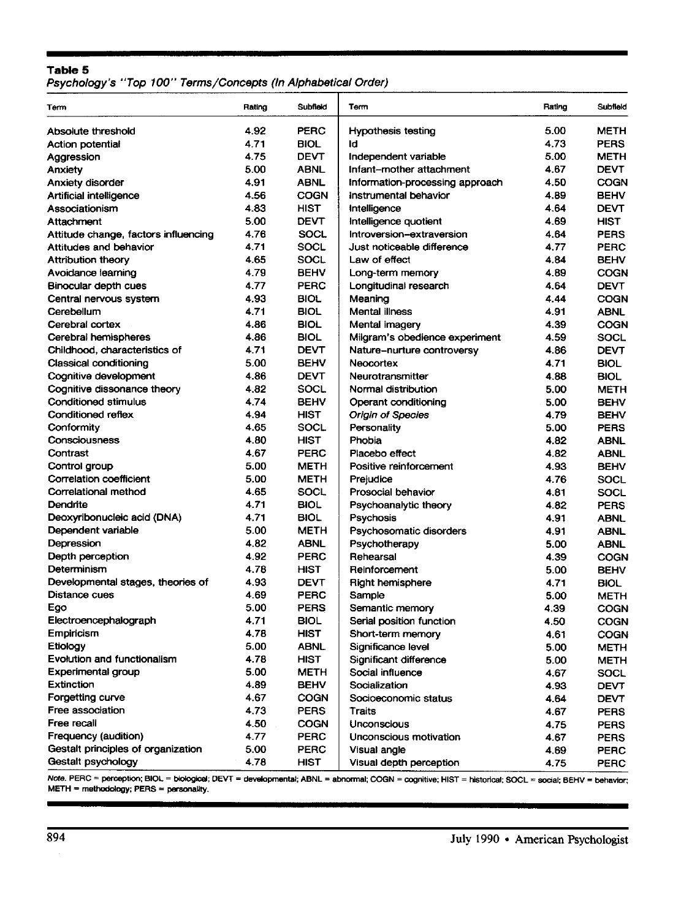#### **Table 5**

Psychology's "Top 100" Terms/Concepts (In Alphabetical Order)

| Term                                            | Rating | Subfield    | Term                            | Rating | Subfield    |
|-------------------------------------------------|--------|-------------|---------------------------------|--------|-------------|
| Absolute threshold                              | 4.92   | <b>PERC</b> | <b>Hypothesis testing</b>       | 5.00   | <b>METH</b> |
| Action potential                                | 4.71   | <b>BIOL</b> | ld                              | 4.73   | <b>PERS</b> |
| Aggression                                      | 4.75   | <b>DEVT</b> | Independent variable            | 5.00   | <b>METH</b> |
| <b>Anxiety</b>                                  | 5.00   | <b>ABNL</b> | Infant-mother attachment        | 4.67   | <b>DEVT</b> |
| Anxiety disorder                                | 4.91   | <b>ABNL</b> | Information-processing approach | 4.50   | <b>COGN</b> |
| <b>Artificial intelligence</b>                  | 4.56   | <b>COGN</b> | instrumental behavior           | 4.89   | <b>BEHV</b> |
| Associationism                                  | 4.83   | <b>HIST</b> | Intelligence                    | 4.64   | <b>DEVT</b> |
| Attachment                                      | 5.00   | <b>DEVT</b> | Intelligence quotient           | 4.69   | HIST        |
| Attitude change, factors influencing            | 4.76   | SOCL        | Introversion-extraversion       | 4.64   | <b>PERS</b> |
| <b>Attitudes and behavior</b>                   | 4.71   | <b>SOCL</b> | Just noticeable difference      | 4.77   | <b>PERC</b> |
| Attribution theory                              | 4.65   | SOCL        | Law of effect                   | 4.84   | <b>BEHV</b> |
| Avoidance learning                              | 4.79   | <b>BEHV</b> | Long-term memory                | 4.89   | <b>COGN</b> |
| Binocular depth cues                            | 4.77   | <b>PERC</b> | Longitudinal research           | 4.64   | <b>DEVT</b> |
| Central nervous system                          | 4.93   | <b>BIOL</b> | Meaning                         | 4.44   | COGN        |
| Cerebellum                                      | 4.71   | <b>BIOL</b> | Mental illness                  | 4.91   | <b>ABNL</b> |
| Cerebral cortex                                 | 4.86   | <b>BIOL</b> | Mental imagery                  | 4.39   | <b>COGN</b> |
| Cerebral hemispheres                            | 4.86   | <b>BIOL</b> | Milgram's obedience experiment  | 4.59   | <b>SOCL</b> |
| Childhood, characteristics of                   | 4.71   | <b>DEVT</b> | Nature-nurture controversy      | 4.86   | <b>DEVT</b> |
| Classical conditioning                          | 5.00   | <b>BEHV</b> | Neocortex                       | 4.71   | <b>BIOL</b> |
| Cognitive development                           | 4.86   | <b>DEVT</b> | Neurotransmitter                | 4.88   | <b>BIOL</b> |
| Cognitive dissonance theory                     | 4.82   | SOCL        | Normal distribution             | 5.00   | <b>METH</b> |
| Conditioned stimulus                            | 4.74   | <b>BEHV</b> | Operant conditioning            | 5.00   | <b>BEHV</b> |
| Conditioned reflex                              | 4.94   | HIST        | Origin of Species               | 4.79   | <b>BEHV</b> |
| Conformity                                      | 4.65   | <b>SOCL</b> | Personality                     | 5.00   | <b>PERS</b> |
| Consciousness                                   | 4.80   | <b>HIST</b> | Phobia                          | 4.82   | <b>ABNL</b> |
| Contrast                                        | 4.67   | <b>PERC</b> | Placebo effect                  | 4.82   | <b>ABNL</b> |
|                                                 | 5.00   | <b>METH</b> | Positive reinforcement          | 4.93   | <b>BEHV</b> |
| Control group<br><b>Correlation coefficient</b> | 5.00   | <b>METH</b> | Prejudice                       | 4.76   | <b>SOCL</b> |
| Correlational method                            | 4.65   | SOCL        |                                 |        |             |
|                                                 |        |             | Prosocial behavior              | 4.81   | <b>SOCL</b> |
| Dendrite                                        | 4.71   | <b>BIOL</b> | Psychoanalytic theory           | 4.82   | <b>PERS</b> |
| Deoxyribonucleic acid (DNA)                     | 4.71   | <b>BIOL</b> | Psychosis                       | 4.91   | <b>ABNL</b> |
| Dependent variable                              | 5.00   | <b>METH</b> | Psychosomatic disorders         | 4.91   | <b>ABNL</b> |
| Depression                                      | 4.82   | <b>ABNL</b> | Psychotherapy                   | 5.00   | <b>ABNL</b> |
| Depth perception                                | 4.92   | <b>PERC</b> | Rehearsal                       | 4.39   | <b>COGN</b> |
| Determinism                                     | 4.78   | <b>HIST</b> | Reinforcement                   | 5.00   | <b>BEHV</b> |
| Developmental stages, theories of               | 4.93   | <b>DEVT</b> | <b>Right hemisphere</b>         | 4.71   | <b>BIOL</b> |
| Distance cues                                   | 4.69   | <b>PERC</b> | Sample                          | 5.00   | <b>METH</b> |
| Ego                                             | 5.00   | <b>PERS</b> | Semantic memory                 | 4.39   | <b>COGN</b> |
| Electroencephalograph                           | 4.71   | <b>BIOL</b> | Serial position function        | 4.50   | COGN        |
| Empiricism                                      | 4.78   | HIST        | Short-term memory               | 4.61   | <b>COGN</b> |
| Etiology                                        | 5.00   | <b>ABNL</b> | Significance level              | 5.00   | <b>METH</b> |
| Evolution and functionalism                     | 4.78   | <b>HIST</b> | Significant difference          | 5.00   | METH        |
| Experimental group                              | 5.00   | <b>METH</b> | Social influence                | 4.67   | <b>SOCL</b> |
| <b>Extinction</b>                               | 4.89   | <b>BEHV</b> | Socialization                   | 4.93   | <b>DEVT</b> |
| Forgetting curve                                | 4.67   | COGN        | Socioeconomic status            | 4.64   | <b>DEVT</b> |
| Free association                                | 4.73   | <b>PERS</b> | Traits                          | 4.67   | <b>PERS</b> |
| Free recall                                     | 4.50   | COGN        | Unconscious                     | 4.75   | <b>PERS</b> |
| Frequency (audition)                            | 4.77   | <b>PERC</b> | Unconscious motivation          | 4.67   | <b>PERS</b> |
| Gestalt principles of organization              | 5.00   | <b>PERC</b> | Visual angle                    | 4.69   | <b>PERC</b> |
| Gestalt psychology                              | 4.78   | <b>HIST</b> | Visual depth perception         | 4.75   | <b>PERC</b> |

*Note.* PERC = perception; BIOL = biological; DEVT = developmental; ABNL = abnormal; COGN = cognitive; HIST = historical; SOCL = social; BEHV = behavior; METH = methodology; PERS = personality.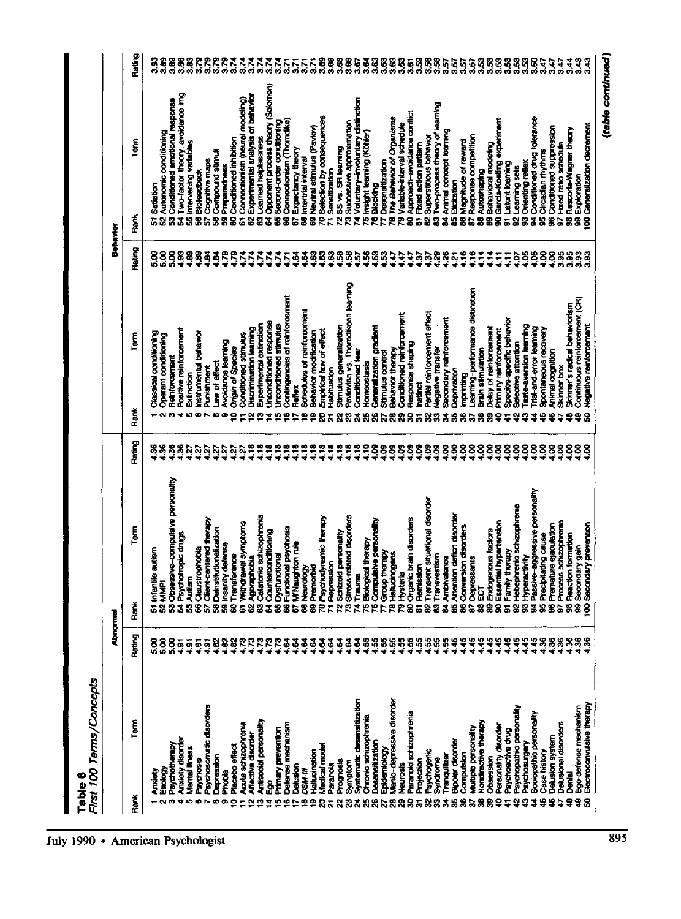Table 6<br>*First 100 Ter* 

|                            | - השפטונטאר ומונ <del>פו</del> איזור |                       | Abnormal                                                               |            |                        |                                    | Behavior             |                                                     |                   |                        |
|----------------------------|--------------------------------------|-----------------------|------------------------------------------------------------------------|------------|------------------------|------------------------------------|----------------------|-----------------------------------------------------|-------------------|------------------------|
| Rank                       | Term                                 | Rating                | Term<br>Rank                                                           | Rating     | Rank                   | Term                               | Rating               | Term<br>Rank                                        |                   | Rating                 |
|                            |                                      |                       | 51 Infanti                                                             |            |                        | Classical conditioning             |                      |                                                     |                   |                        |
|                            | Etiology<br>Anxiety                  | 88<br>ចំចំ            | le autism<br><b>52 MMP</b>                                             | 88         |                        | Operant conditioning               | $\frac{8}{2}$<br>ιŚ  | Autonomic conditioning<br>Satiation<br>S            |                   | 3.89                   |
|                            |                                      | $\frac{8}{5}$         |                                                                        | Ħ,         |                        |                                    | ន្ត                  | Ż                                                   |                   |                        |
|                            | Psychotherapy                        | $rac{5}{4}$           | 53 Obsessive-compulsive personality                                    | Ş          |                        | Reinforcement                      | $\frac{8}{1}$        | Conditioned emotional response<br>Ż                 |                   | 383                    |
| ÷                          | <b>Anxiety disorder</b>              | $rac{5}{4}$           | 54 Psychotropic drugs<br>55 Autism                                     | Ľ.         |                        | Positive reinforcement             | $\frac{8}{2}$        | Two-factor theory, avoidance img<br>8               |                   |                        |
| ю                          | Mental illness                       |                       |                                                                        |            | Extinction<br><b>U</b> |                                    |                      | Intervening variables                               |                   | 882<br>885             |
| o                          | Psychosis                            | $\frac{5}{4}$         | 56 Claustrophobia<br>57 Client-centered therapy                        | ίŠ,        |                        | <b>Instrumental behavior</b>       |                      | <b>Biofeedback</b><br>និង                           |                   |                        |
|                            | Psychosomatic disorders              | $\frac{5}{4}$         |                                                                        | <b>Zj</b>  | Punishment             |                                    |                      | Cognitive maps                                      |                   | 3.79                   |
| œ                          | Depression                           | 4.B2                  | 58 Deinstitutionalization<br>59 Insanity defense                       | Ņ          | œ                      | Law of effect                      | <b>BAR</b>           | <b>Compound stimuli</b><br>និន                      |                   | ვ<br>ა                 |
| o                          | <b>Phobis</b>                        |                       |                                                                        | р.         | œ                      | Avoidance learning                 |                      | Preparedress                                        |                   | 3.79                   |
| ∘                          | Placebo effect                       | 4.82                  | 60 Transference                                                        | 2          |                        | <b>Origin of Species</b>           | ŖĘ                   | <b>Conditioned inhibition</b><br>$\dot{\mathbf{z}}$ |                   |                        |
| Ξ                          | <b>Acute schizophrenia</b>           | ្                     | 61 Withdrawal symptoms                                                 | 5          |                        | Conditioned stimulus               |                      | Connectionism (neural modeling)<br>ã                |                   | 3.74                   |
| 으                          | Affective disorder                   |                       |                                                                        | ۴,         | 덜                      | Discrimination learning            | $\tilde{\mathbf{r}}$ | Experimental analysis of behavior<br>S              |                   | 3.74                   |
| ∾                          | Antisocial personality               | EEE                   | 62 Agoraphobia<br>63 Catatonic schizophrenia<br>64 Counterconditioning |            | ø                      | Experimental extinction            | $\tilde{\bm{z}}$     | Learned helplessness<br>g                           |                   |                        |
| ⋣                          | å,                                   |                       |                                                                        | ÷          | ž                      | Unconditioned response             | 174                  | Opponent process theory (Solomon)<br>Ž,             |                   | 3.74                   |
| 뜨                          | Primary prevention                   | R                     | 65 Dysfunctional                                                       | e,         | ဖာ                     | Unconditioned stimulus             | Σ,                   | Second-order conditioning<br>58                     |                   | $\frac{1}{2}$          |
| ≌                          | Defense mechanism                    | $\ddot{9}$            | 66 Functional psychosis                                                | ÷.         |                        | Contingencies of reinforcement     | 5                    | Connectionism (Thorndike)<br>\$                     |                   | 3.71                   |
| ₽                          | Detusion                             | $\mathbf{z}$          | 67 M'Naughton rule                                                     | ۹,         | <b>Reflex</b>          |                                    |                      | Expectancy theory<br>G)                             |                   | 55<br>50               |
| ₽                          | <b>DSM-M</b>                         | द                     |                                                                        | ۹.         | စ                      | Schedules of reinforcement         |                      | Intertrial interval<br>8                            |                   | $\frac{7}{3}$          |
| ⅇ                          | Hallucination                        | $\frac{2}{3}$         | 68 Neurology<br>69 Premorbid<br>70 Psychodynamic therapy               | $\ddot{r}$ | Φ                      | Behavior modification              |                      | Neutral stimulus (Pavlov)<br>8                      |                   | 5                      |
| ន                          | Medical model                        |                       |                                                                        | $\ddot{3}$ | 8                      | Empirical law of effect            |                      | Selection by consequences<br>R                      |                   | 3.69                   |
| ā                          | Paranda                              | ម្មី                  | 71 Repression                                                          | ÷          | Habituation            |                                    |                      | Sensitization<br><b>E</b>                           |                   |                        |
| ଅ                          | Prognosis                            | ថ្មី                  | Schizold personality<br>R                                              | ÷.         | S                      | Stimulus generalization            |                      | SS vs. SR learning<br>R                             |                   |                        |
| ಔ                          | Symptom                              | $\ddot{3}$            | 73 Stress-related disorders                                            | ÷.         | я                      | Pavlovian vs. Thorndikean learning | 3333888              | Successive approximation<br>ድ                       |                   | 888<br>¤¤¤             |
| న                          | Systematic desensitization           | $\frac{3}{2}$         | 74 Trauma                                                              | ÷          |                        | Conditioned fear                   | ត្                   | Voluntary-involuntary distinction<br>N              |                   | 3.67                   |
| 5g                         | Chronic schizophrenia                |                       | ical therapy<br>75 Biolog                                              | å          | я                      | Homeostasis                        | S,                   | Insight learning (Köhler)<br>15                     |                   | $\frac{2}{3}$          |
| 8                          | Desensitization                      |                       | 76 Compulsive personality                                              | 8          | 8                      | Generalization gradient            | S,                   | Blocking<br>۴                                       |                   | 3.63                   |
| 2                          | Epidemiology                         |                       | 77 Group therapy                                                       | 8          |                        | Stimulus control                   | 34                   | <b>Desenshization</b><br>Þ                          |                   | $\frac{3}{2}$          |
| $\boldsymbol{\mathcal{Z}}$ | Manic-depressive disorder            | 98888                 | 78 Hallucinogens                                                       | 8          | 8                      | Behavior therapy                   |                      | The Behavior of Organisms<br>은                      |                   | 3.63                   |
| <b>R</b>                   | <b>Neurosis</b>                      |                       | 79 Hysteria                                                            | 8          | କ୍ଷ                    | Conditioned reinforcement          | ٩                    | Variable-interval schedule<br>5                     |                   | 3.63                   |
| 8                          | Paranoid schizophrenia               |                       | 80 Organic brain disorders                                             | 8          | 8                      | Response shaping                   | ÷,                   | Approach-evoidance conflict<br>ន                    |                   | 3.61                   |
| 5                          | Projection                           |                       | 81 Remission                                                           | 8          | hstinct<br>75          |                                    | 5                    | Fixed action pattern<br><b>E</b>                    |                   |                        |
|                            | Psychogenic                          | <b>8888</b>           | Translent situational disorder<br>$\ddot{\mathbf{a}}$                  | 8          | 8                      | Partial reinforcement effect       | 5,                   | <b>Superstitious behavior</b><br>8                  |                   |                        |
| 88388                      | Syndrome                             |                       | 83 Transvestism                                                        | 88888      | 8                      | <b>Vegative transfer</b>           | 8                    | Two-process theory of learning<br>8                 |                   | និនីនិងជិត<br>តំបូងដូច |
|                            | Tranquilizer                         | 4.55                  |                                                                        |            | Ż,                     | Secondary reinforcement            | $\frac{26}{5}$       | Animal concept learning<br>38                       |                   |                        |
|                            | <b>Bipolar disorder</b>              |                       | 84 Ambivalence<br>85 Attention deficit disorder                        |            | Deprivation<br>m       |                                    | ř                    | Elicitation                                         |                   |                        |
|                            | Computsion                           | 4.45                  | 86 Conversion disorders                                                |            | imprinting<br>8        |                                    | $\ddot{ }$           | Magnitude of reward<br>8                            |                   |                        |
| a                          | Multiple personality                 | 1.45                  | 87 Depressants                                                         |            | S                      | Learning-performance distinction   | $\ddot{ }$           | Response competition<br>à,                          |                   | 3.57                   |
| 8                          | Nondirective therapy                 | 1.45                  | 88 ECT                                                                 | 8          | 8                      | <b>Brain stimulation</b>           | ř                    | Autoshaping<br>8                                    |                   | 3                      |
| g                          | Obsession                            | 4.45                  | 89 Endogenous factors                                                  | 8          | 8                      | Delay of reinforcement             | 부                    | Behavioral modeling<br>8                            |                   | 88<br>38               |
| ş                          | Personality disorder                 | 4.45                  | 90 Essential hypertension                                              | 888888     | ş                      | Primary reinforcement              | Ę                    | Garda-Koeling experiment<br>8                       |                   |                        |
| 5                          | Psychoactive drug                    | 4.45                  | 91 Family therapy                                                      |            |                        | Species-specific behavior          | 5                    | <b>Latent learning</b><br>ā,                        |                   | ឱនីដីដី<br>តំនាំតំនាំ  |
| 잎                          | Psychopathic personality             |                       | 92 Hebephrenic schizophrenia                                           |            | ∾                      | Selective attention                | ğ                    | 92 Learning sets                                    |                   |                        |
| 9                          | Psychosurgery                        |                       |                                                                        |            | 2                      | Taste-aversion learning            | S.                   | <b>Orienting reflex</b><br>8<br><b>a</b>            |                   |                        |
| 2                          | Sociopathic personality              | <b>44488</b><br>***** | 93 Hyperactivity<br>94 Passive-aggressive personality                  |            | I                      | Trial-and-error learning           | $\frac{88}{100}$     | Conditioned drug tolerance                          |                   |                        |
| ¥                          | Case history                         |                       | 95 Precipitating cause                                                 |            | 냪                      | Spontaneous recovery               |                      | Circadian rhythms<br>8                              |                   | 3.47                   |
| ş                          | Delusion system                      |                       | 96 Premature ejaculation                                               | 8          | ٠                      | Animal cognition                   | Š.                   | Conditioned suppression<br>$\bar{\mathbf{8}}$       |                   | 17<br>19               |
| ₽                          | Delusional disorders                 | $\frac{36}{2}$        | 97 Process schizophrenia                                               | 8          | <b>Skinner box</b>     |                                    | 3.95                 | Fixed ratio schedule<br>$\overline{\mathbf{a}}$     |                   |                        |
| ş                          | nia<br>A                             |                       | Reaction formation<br>g                                                | 8          |                        | Skinner's radical behaviorism      | 3.95                 | Rescorta-Wagner theory<br>g                         |                   | ३                      |
| 맣                          | Ego-defense mechanism                | 888                   | 99 Secondary gain                                                      | 88         | ቧ                      | Continuous reinforcement (CR)      | 3.93                 | 99 Exploration                                      |                   | 3.43                   |
|                            | Electroconvulsive therapy            |                       | rdary prevention<br>Secon<br>§                                         |            | 8                      | Negative reinforcement             | 3.93                 | 00 Generalization decrement                         |                   | 3B                     |
|                            |                                      |                       |                                                                        |            |                        |                                    |                      |                                                     |                   |                        |
|                            |                                      |                       |                                                                        |            |                        |                                    |                      |                                                     | (table continued) |                        |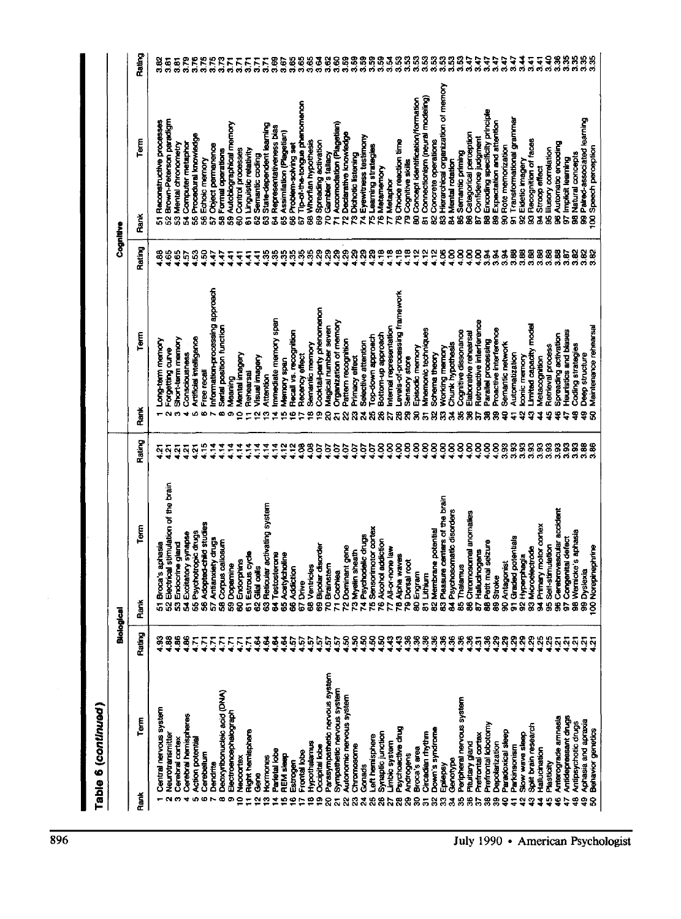| Table 6 (continued)                               |                         |                                                  |                                     |                 |                                                     |                       |           |                                                        |                                 |
|---------------------------------------------------|-------------------------|--------------------------------------------------|-------------------------------------|-----------------|-----------------------------------------------------|-----------------------|-----------|--------------------------------------------------------|---------------------------------|
|                                                   |                         | Biological                                       |                                     |                 |                                                     |                       | Cognitive |                                                        |                                 |
| Term<br>Rank                                      | Rating                  | Rank                                             | Term                                | Rating          | Term<br>Rank                                        | Rating                | Rank      | Term                                                   | Rating                          |
| Central nervous system                            | ី                       | Broca's aphasia<br>5                             |                                     | ċ,              | Long-term memory                                    | 38                    |           | Reconstructive processes                               |                                 |
| Neurotransmitter<br>$\sim$                        | $\frac{32}{2}$          | S                                                | Electrical stimulation of the brain | $\frac{5}{4}$   | Forgetting curve                                    | <b>995</b>            |           | Brown-Peterson paradigm                                | ಹಿ ಹ<br>ನೆ ನ                    |
| Cerebral cortex<br>ø                              | SG <sub>.</sub>         | Endocrine gland<br>ន                             |                                     | $\frac{1}{2}$   | Short-term memory                                   |                       |           | 53 Mental chronometry                                  | $\frac{5}{3}$                   |
| Cerebral hamispheres<br>₹                         | $\frac{8}{2}$           | Excitatory synapse<br>$\overline{\mathbf{z}}$    |                                     | $\frac{5}{4}$   | Consciousness<br>٠                                  |                       |           | Computer metaphor<br>ង់                                | 3.79                            |
| Action potential<br>Ø.                            | Ē                       | Psychotropic drugs<br>S                          |                                     | $\frac{5}{3}$   | Artificial intelligence                             | 3                     |           | Procedural knowledge<br>55                             | 3.76                            |
| Cerebellum<br>œ                                   | Ë                       | Adopted-child studies<br>$\overline{\mathbf{s}}$ |                                     | 4.15            | Free recall                                         | S                     |           | 56 Echoic memory                                       | 3.75                            |
| Dendrite                                          | $\overline{\mathbf{b}}$ | <b>Antianxiety drugs</b><br>ងន                   |                                     | $\frac{4}{14}$  | Information-processing approach                     | Ę                     |           | Object permanence<br>5                                 | 3.75                            |
| Deoxyribonucleic acid (DNA)                       | Ε                       | Corpus callosum                                  |                                     | $\frac{4}{14}$  | Serial position function                            | ÷                     |           | 58 Formal operations                                   | 3.73                            |
| Electroencephalograph<br>œ                        | Ξ                       | Dopamine<br>g                                    |                                     | 14              | Meaning<br>Φ                                        | ÷                     |           | 59 Autobiographical memory                             | 5.7                             |
| Neccortex                                         |                         | Endorphins<br>8                                  |                                     | $\ddot{z}$      | Mental imagery<br>9                                 | ÷                     |           | 60 Control processes                                   | ۲.                              |
| <b>Right hemisphere</b>                           | Ě                       | Estrous cycle<br>6                               |                                     | $\frac{4}{3}$   | Rehearsal<br>$\mathbf{r}$                           | ∓                     |           | <b>B1 Linguistic relativity</b>                        | 5                               |
| <b>Gere</b><br>ິ                                  | ङ्                      | Gilal calls<br>83                                |                                     |                 | Visual imagery<br>$\overline{\mathbf{C}}$           | ₹                     |           | Semantic coding<br>2<br>S                              |                                 |
| Hormones<br>m                                     | \$                      |                                                  | Reticular activating system         | 크               | Attention<br>c                                      | s                     |           | State-dependent learning<br>$\overline{3}$             | Г.<br>Э                         |
| Parietal lobe<br>◆                                | ÷                       | Testosterone<br>$\boldsymbol{z}$                 |                                     | $\frac{4}{11}$  | mmediate memory span<br>◆                           | 35                    |           | 64 Representativeness bias                             | 8<br>3.                         |
| <b>REM sleep</b><br>n                             | 22                      | Acetylcholine<br>s.                              |                                     | ≃ฺ              | Memory span<br>ю                                    | នន                    |           | Assimilation (Plagetian)<br>g.                         | 9.67                            |
| Estrogen<br>œ                                     |                         | <b>Addiction</b><br>$\overline{\mathbf{3}}$      |                                     | ភ្ន             | Recall vs. recognition<br>Ф                         |                       |           | Problem-solving set<br>S                               | 3.65                            |
| Frontal lobe                                      | $\frac{5}{2}$           | Drive<br>G                                       |                                     | ខ្ញុ            | Recency effect<br>⋍                                 | 38                    |           | Tip-of-the-tongue phenomenon<br>G                      | 3.65                            |
| Hypothalamus                                      |                         | Ventrides<br>ġ,                                  |                                     | S               | Semantic memory<br>空                                |                       |           | 68 Whorfian hypothesis                                 | 3.65                            |
| <b>Occipital lobe</b><br>o                        | ត្តក្នុង                | Bipolar disorder<br>g                            |                                     | ē               | Cocktail-party phenomenon<br>ഉ                      | 8                     |           | 69 Spreading activation                                | 3.82<br>3.92                    |
| Parasympathetic nervous system<br>ຂ               |                         | Brainstern<br>g                                  |                                     | è               | Magical number seven<br>ន                           | ನಿ ನಿ                 |           | ro Gambler's fallacy                                   |                                 |
| Sympathetic nervous system<br>స                   |                         | Cochlea<br>$\bar{z}$                             |                                     | io.             | Organization of memory<br>$\overline{\mathbf{a}}$   |                       |           | 71 Accomodation (Plagetian)                            | 3.60                            |
| Autonomic nervous system<br>Ñ                     |                         | Dominant gene<br>$\overline{2}$                  |                                     | 20t             | Pattern recognition<br>g                            |                       |           | Declarative knowledge<br>ă                             | 3.59                            |
| Chromosome                                        | នុននុ                   | Myelin sheath<br>$\bar{5}$                       |                                     | è<br>ğ          | Primacy effect<br>ន្ល                               | 8888                  |           | 73 Dichotic listening                                  | 3.59                            |
| Gonads<br>నే                                      |                         | Psychodelic drugs<br>ž,                          |                                     | ζoι             | Selective attention<br>ដ                            |                       |           | 74 Eyewitness testimony                                | 3.59                            |
| Left hemisphere<br>8<br>æ                         | ş<br>$\frac{6}{2}$      | Sensorimotor cortex<br>ė<br>i.                   |                                     | 8               | co-down approach<br>g<br>8                          | $\frac{1}{2}$         |           | 5 Learning strategies<br><b>76 Metamemory</b>          | 3.59<br>359                     |
| Synaptic junction<br>Limbic system<br>5           | $\frac{9}{4}$           | Alcohol addiction<br>All-or-none law<br>N        |                                     | 8               | Internal representation<br>Bottom-up approach<br>5ì | $\frac{8}{10}$        |           | Metaphor                                               |                                 |
| Psychoactive drug<br>ន                            |                         | Alpha waves<br>R                                 |                                     | 8               | evels-of-processing framework<br>8                  | $\ddot{ }$            |           | 78 Choice reaction time                                | ತ್ತವೆ                           |
| Androgens<br>ౘి                                   | $\frac{98}{10}$         | Dorsal root<br>ድ                                 |                                     | 8               | Sensory store                                       | $\frac{8}{10}$        |           | 79 Cognitive skills                                    |                                 |
| Broca's area<br>g                                 |                         | Engram<br>$\bf{S}$                               |                                     | 8               | Episodic memory<br>88                               | $\frac{2}{3}$         |           | 80 Concept identification/formation                    |                                 |
| Circadian rhythm<br>5                             | $\frac{88}{10}$         | Lithium<br>$\overline{5}$                        |                                     | 8               | Mnemonic techniques<br>5                            | $\frac{2}{3}$         |           | Connectionism (neural modeling)<br>5                   | នានីនីនីនីនីនី<br>ដឹងថ្ងៃទីនីនី |
| Down's syndrome<br>g                              | $\frac{10}{2}$          | Membrane potential<br>823                        |                                     | 8               | Schema theory<br>នន                                 | $\frac{2}{2}$         |           | Concrete operations<br>$\bar{8}$                       |                                 |
| Epilepsy<br>R                                     | 555                     |                                                  | Pleasure centers of the brain       | 8               | Working memory                                      | 5                     |           | 83 Hierarchical organization of memory                 |                                 |
| Genotype<br>रू                                    |                         |                                                  | Psychosomatic disorders             | $\frac{88}{16}$ | Chunk hypothesis                                    | s <sub>3</sub>        |           | <b>B4 Mental rotation</b>                              |                                 |
| Peripheral nervous system<br>19                   |                         | Thalamus<br>58                                   |                                     |                 | Cognitive dissonance                                | $\frac{8}{4}$         |           | Semantic priming<br>8                                  |                                 |
| Pituitary gland<br>9                              | $\frac{3}{2}$           | $\overline{\mathbf{3}}$                          | Chromosomel anomalies               | Š.              | Elaborative rehearsal<br>3885                       | $\frac{8}{4}$         |           | Categorical perception<br>$\bar{\mathbf{3}}$           | 3.47                            |
| Prefrontal cortex<br>৯                            | $\overline{2}$          | Hallucinogens<br><b>G</b>                        |                                     | 8               | Retroactive interference                            | 4,00                  |           | Confidence judgment<br>S,                              | 3.47                            |
| Prefrontal lobotomy<br>黑                          | 888                     | Petit mai seizure<br>8                           |                                     | 8 <sub>4</sub>  | Parallel processing<br>8<br>ஜ                       | $\frac{3}{2}$<br>3.34 |           | B8 Encoding specificity principle                      | 3.47<br>3.47                    |
| <b>Depolarization</b><br>g,                       |                         | <b>Stroke</b><br>88                              |                                     | 888<br>488      | Proactive interference<br>ទ្                        | 3.94                  |           | Expectation and attention<br>90 Rote memorization<br>g | 3.47                            |
| Paradoxical sleep<br>2                            |                         | Antagonist                                       |                                     |                 | Semantic network<br>प                               |                       |           | ā                                                      | 3.47                            |
| Parkinsonism<br>5                                 | $\overline{29}$<br>Ŗ    | <b>Graded</b> potentials<br>$\hat{a}$<br>5       |                                     | 3.93            | Automatization<br>ఫ                                 | 3.88<br>3.88          |           | Transformational grammar<br>Eldetic imagery<br>8       | र्नु                            |
| Solit brain research<br>Slow ways sleep<br>ల<br>Ņ | $\overline{3}$          | Microelectrode<br>Hyperphagia<br>8               |                                     | 3.93            | Limited capacity model<br>conic memory<br>្នា       | 3.88                  |           | 93 Recognition of faces                                | 3.41                            |
| Hallucination<br>1                                |                         | <b>Primary motor cortex</b>                      |                                     | 3.93            | Metacognition<br>4                                  | 3.88                  |           | Stroop effect<br>3                                     | 3.41                            |
| Plesticity<br>40                                  | $\frac{25}{25}$         | Self-stimulation<br>35                           |                                     |                 | Retrieval process<br>ម្ន                            | 3.88                  |           | 95 lilusory correlation                                | 3.40                            |
| Anterograde amnesia<br>ھ                          | $\overline{2}$          | g                                                | Cerebrovascular accident            | 3.93            | Spreading activation<br>φ                           | 3,88                  |           | 96 Automatic encoding                                  | 3.36                            |
| Antidepressant drugs                              | Ŋ                       | Congenital defect<br>5                           |                                     | 3.93            | Heuristics and blases                               | 3.87                  |           | Implicit learning<br>5                                 | 3.35                            |
| Antipsychotic drugs<br>ş                          | $\frac{5}{2}$           | 98 Wernicke's aphasia                            |                                     | 3.93            | Coding strategies<br>з                              | e<br>S                |           | 98 Natural concepts                                    | 3.35                            |
| Aphasia and apraxia<br>ទ្                         | $\frac{2}{3}$           | 99 Dyslexia                                      |                                     | 3.88            | Deep structure<br>ទ្ ន                              | 3.82                  |           | Paired-associated learning<br>g                        | 335<br>335                      |
| Behavior genetics<br>ន្ល                          |                         | 100 Norepinephrine                               |                                     | 3.86            | Maintenance rehearsal                               | $\frac{32}{3}$        |           | 100 Speech perception                                  |                                 |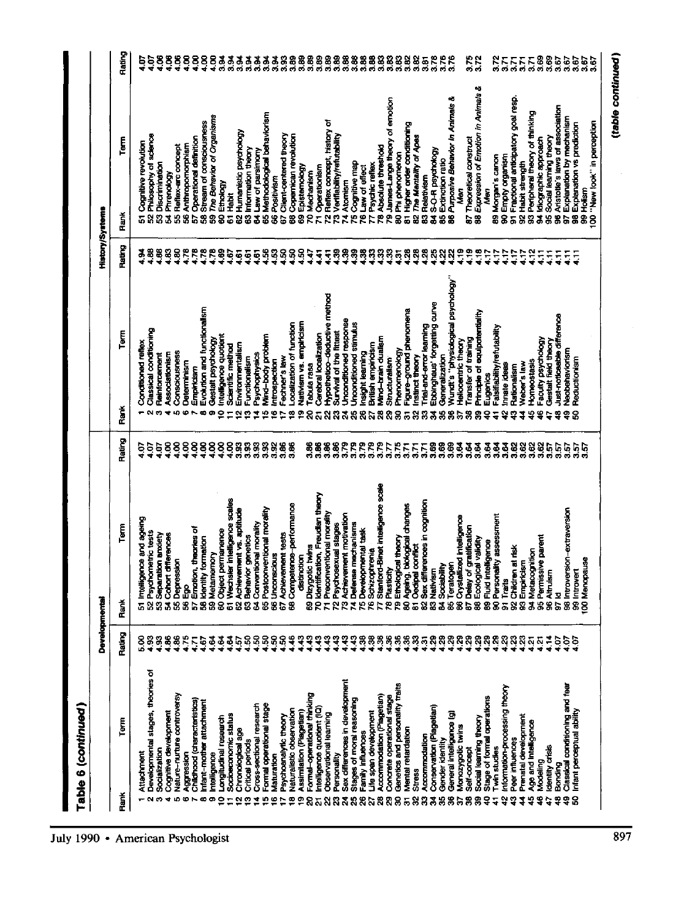| Table 6 (continued)                                            |                     |                                                  |                                                    |                     |                                                   |                                    |                 |                                                                 |                     |
|----------------------------------------------------------------|---------------------|--------------------------------------------------|----------------------------------------------------|---------------------|---------------------------------------------------|------------------------------------|-----------------|-----------------------------------------------------------------|---------------------|
|                                                                |                     | Developmental                                    |                                                    |                     |                                                   |                                    | History/Systems |                                                                 |                     |
| Term<br>Rank                                                   | Rating              | Řank                                             | Term                                               | Rating              | Rank                                              | Term                               | Rating          | Term<br><b>Hank</b>                                             | Rating              |
| Attachment                                                     |                     | <b>Intellic</b>                                  | <b>Furche pure ecueld</b>                          | င                   | <b>Conditioned reflex</b>                         |                                    |                 | Cognitive revolution                                            |                     |
| Developmental stages, theories of                              | 888<br>¤**          | 52 Psychometric tests                            |                                                    | $\ddot{5}$          | Classical conditioning                            |                                    | $\frac{8}{2}$   | Philosophy of science                                           | 1.07                |
| Socialization                                                  |                     | 53 Separation anxiety                            |                                                    | 5ū                  | Reinforcement                                     |                                    | <b>1.56</b>     | Discrimination                                                  | ឡ                   |
| Cognitive development<br>÷                                     | $\frac{8}{2}$       | 54 Cohort differences                            |                                                    | 8 <sub>1</sub>      | Associationism                                    |                                    | $\frac{33}{10}$ | Phrenology<br>$\overline{\mathbf{z}}$                           | ទី                  |
| Nature-nurture controversy<br>ID.                              | 8                   | 55 Depression                                    |                                                    | $\frac{8}{10}$      | Consciousness                                     |                                    |                 | 55 Reflex-arc concept                                           | ទី                  |
| Aggression<br>$\bullet$                                        | 175                 | 56 Ego                                           |                                                    | $\frac{8}{4}$       | Determinism<br>ശ                                  |                                    | 4.78            | Anthropomorphism<br>$\overline{\mathbf{3}}$                     |                     |
| Childhood (characteristics)                                    | S                   | b.                                               | Emotion, theories of                               | 888                 | Empiricism                                        |                                    |                 | Operational definition<br>5                                     | $\frac{88}{14}$     |
| Intant-mother attachment                                       | Ġ                   | 58 Identity formation                            |                                                    |                     |                                                   | Evolution and functionalism        | 4.78            | <b>Stream of consciousness</b><br>3                             |                     |
| <b>Intelligence</b>                                            | \$                  | 59 Metamernory                                   |                                                    |                     | Gestalt psychology<br>œ                           |                                    | 78              | The Behavior of Organisms<br>3                                  |                     |
| Longitudinal research<br>∘                                     | 3                   | 60 Object permanence                             |                                                    | $^{4.00}$           | Intelligence quotient<br>0                        |                                    |                 | 60 Ethology                                                     |                     |
| Socioeconomic status                                           | $\frac{3}{2}$       | $\overline{6}$                                   | Wechsler intelligence scales                       | 3.33                | Scientific method                                 |                                    | 1.67            | 61 Habit                                                        |                     |
| Chronological age<br>N                                         | $\frac{57}{150}$    |                                                  | 62 Achevement vs. aptitude                         |                     | Environmentalism<br>N                             |                                    |                 | Humanistic psychology<br>$\overline{3}$                         |                     |
| Critical periods<br>ø                                          |                     | 64 Conventional morality<br>63 Behavior genetics |                                                    | S<br>3.93           | Functionalism<br>∾                                |                                    |                 | Information theory<br>$\bar{3}$                                 |                     |
| Formal operational stage<br>Cross-sectional research<br>⋖<br>ю | ន្ទន្ទន្ទ           |                                                  |                                                    | 3.32                | Mind-body problem<br>Psychophysics<br>₹<br>ю      |                                    | 55588888        | 65 Methodological behaviorism<br>Law of parsimony<br>3          |                     |
| Maturation                                                     |                     |                                                  | 65 Postconventional morality<br>66 Unconscious     | 3.92                | Introspection<br>¢                                |                                    |                 | Positivism<br>$\bar{8}$                                         |                     |
| Psychoanalytic theory                                          |                     | 67 Achievement tests                             |                                                    | 3.86                | Fechner's law                                     |                                    |                 | Client-centered theory<br>5                                     |                     |
| Naturalistic observation<br>∞                                  | $\frac{46}{1}$      |                                                  | 68 Competence-performance                          | 3.86                | Localization of function<br>∾                     |                                    |                 | Copernican revolution<br>3                                      |                     |
| Assimilation (Piagetian)<br>Φ                                  | २                   | distinction                                      |                                                    |                     | Nativism vs. empiricism<br>ο                      |                                    |                 | Epistemology<br>$\overline{8}$                                  |                     |
| Formal-operational thinking<br>ន                               | $\mathbf{S}$        | 69 Dizygotic twins<br>70 Identification, Fr      |                                                    | 3.86                | Tabula rasa<br>ຂ                                  |                                    |                 | Mechanism<br>g                                                  |                     |
| Intelligence quotient (IQ)<br>高                                | ុ                   |                                                  | <b>Rcation, Freudian theory</b>                    | $\frac{8}{3}$       | Cerebral localization                             |                                    |                 | Operationism<br>E,                                              |                     |
| Observational learning<br>S                                    | $\frac{43}{2}$<br>व |                                                  | 71 Preconventional morality                        | 3.86<br>3.86        | S                                                 | Hypothetico-deductive method       | 5588            | 72 Reflex concept, history of                                   |                     |
| Personality<br>$\mathbf{z}$<br>R                               | ą                   |                                                  | 72 Psychosexual stages                             | 3.79                | Survival of the fittest<br>ನ<br>ឌ                 |                                    |                 | 73 Verifiability/refutability                                   |                     |
| Sex differences in development<br>Stages of moral reasoning    |                     |                                                  | 73 Achievement motivation<br>74 Defense mechanisms | 3.79                | Unconditioned response<br>Unconditioned stimulus  |                                    | $\frac{3}{2}$   | 74 Atomism                                                      |                     |
| Family influences<br>88                                        | 78                  | 75 Developmental task                            |                                                    | 3.79                | Insight learning<br>g<br>စ္လ                      |                                    |                 | <sup>75</sup> Cognitive map<br>76 Law of effect                 |                     |
| Life span development<br>5                                     | æ,                  | <b>76 Schizophrenia</b>                          |                                                    | 3.79                | British empiricism                                |                                    | នុន             | Psychic reflex<br>r                                             |                     |
| Accommodation (Piagetian)<br>$\boldsymbol{3}$                  | B,                  | Þ                                                | Stanford-Binet intelligence scale                  | 3.79                | Mind-brain dualism<br>28                          |                                    |                 | 78 Absolute threshold                                           |                     |
| Concrete operational stage<br>8                                | 8                   | 78 Plasticity                                    |                                                    | 7.                  | Structuralism<br>8                                |                                    |                 | 79 James-Lange theory of emotion                                |                     |
| Genetics and personality traits<br>႙                           |                     | 79 Ethological theory                            |                                                    | 3.75                | Phenomenology<br>g                                |                                    | 88588           | Phi phenomenon<br>క్ష                                           |                     |
| Mental retardation<br>8<br>5                                   |                     | 5                                                | 80 Ageing, biological changes                      | $\overline{3}$<br>5 | g                                                 | Figure-ground phenomena            |                 | Higher order conditioning<br>$\overline{a}$                     |                     |
| Accommodation<br><b>Stress</b><br>8                            | 88858               | Oedipal conflict                                 | 82 Sex differences in cognition                    | 5                   | Trial-and-error learning<br>Instinct theory<br>8  |                                    | 28              | The Mentality of Apes<br>Relativism<br>9<br>3                   | 3.81                |
| Conservation (Plagetian)<br>3                                  |                     |                                                  |                                                    | $\frac{8}{2}$       | ड़                                                | Ebbinghaus' forgetting curve       | $\frac{8}{2}$   | S-O-R psychology<br>$\overline{a}$                              | 3.78                |
| Gender identity<br>S                                           |                     | Sociability<br>83 Nativism<br>84 Sociability     |                                                    | 3.69                | Generalization<br>噐                               |                                    | $\frac{32}{2}$  |                                                                 | 3.76                |
| General Intelligence (g)<br>8                                  |                     |                                                  | 85 Teratogen<br>86 Crystallized intelligence       | 3.69                | 8                                                 | "Wolchclosa leaguagevita" s.tbru.W | 4.22            | 85 Extinction ratio<br>86 Purposive Behavior in Animais &       | 3.76                |
| Monozygotic twins<br>a                                         | 8888                |                                                  |                                                    | 3.64                | Hellocentric theory<br>ы                          |                                    | ድ<br>፲          | Ş                                                               |                     |
| Self-concept<br>噐                                              |                     | 87 Delay of gratification                        |                                                    | 3.64                | Transfer of training<br>3                         |                                    | ី               | Theoretical construct<br><b>G</b>                               | 3.75                |
| Social learning theory<br>8<br>ទ                               | នុន                 | 88 Ecological validity                           |                                                    | 3.64                | ႙                                                 | Principle of equipotentiality      | $\frac{18}{11}$ | 88 Expression of Emotion in Animals &                           |                     |
| Stage of formal operations<br>Twin studies                     | ଞ୍                  | 89 Fluid intelligence                            |                                                    | 3.64                | Eugenics<br>្ន<br>듷                               |                                    | ζt,             | Morgan's canon<br>Mari<br>8                                     |                     |
| Information-processing theory<br>\$,                           |                     | Traits<br>85                                     | Personality assessment                             | 36                  | Falsifiability/refutability<br>Innate ideas<br>្ន |                                    | 4.17<br>4.17    | 90 Empty organism                                               | 3.71                |
| Peer influences<br>្នុ                                         | ន្ទន្ទន្ទ           | Children at risk                                 |                                                    | ತ್ತ್ವಜ್ಞ<br>ನಿಧ     | Rationalism<br>9                                  |                                    | 117<br>4        | Fractional anticipatory goal resp.<br>5                         |                     |
| Prenatal development<br>1                                      |                     | 92 Children at r<br>93 Empiricism                |                                                    | 3.62                | Weber's law<br>1                                  |                                    | ۱.              | Habit strength<br>$\overline{\mathbf{3}}$                       | 22<br>22            |
| Age and Intelligence<br>ម្                                     | 42<br>42            | 94 Metacognition                                 |                                                    | 3.62                | Homeostasis<br>ប្ន                                |                                    | $\frac{2}{3}$   | Peripheral theory of thinking<br>3                              |                     |
| Modeling<br>\$                                                 |                     | 95 Permissive parent<br>96 Altruism              |                                                    | 3.62                | Faculty psychology<br>ទូ                          |                                    | Ę               | 94 Idiographic approach                                         |                     |
| Identity crisis<br>Bonding<br>ष्ट्र<br>ទ                       | 14<br>$-9.1$        | 97 Id                                            |                                                    | ទី<br>55<br>9       | Gestalt field theory<br>ş<br>c                    | Just-noticeable difference         | Ş<br>Ë          | Aristotle's laws of association<br>Social learning theory<br>58 | <b>5885</b><br>2882 |
| Classical conditioning and fear<br>49                          | $-5$                |                                                  | 98 Introversion-extraversion                       | 3.57                | Neobehaviorism<br>ទូ                              |                                    | .<br>۳          | Explanation by mechanism<br>5                                   | 3.67                |
| Infant perceptual ability<br>8                                 | ĕ                   |                                                  |                                                    |                     | Reductionism<br>ន                                 |                                    | Ę               | 98 Explanation vs prediction                                    | 3.67                |
|                                                                |                     | 99 Introvert<br>100 Menapause                    |                                                    | ភូមិ<br>ភូមិ        |                                                   |                                    |                 | 99 Hollism                                                      | $3.67$<br>$3.67$    |
|                                                                |                     |                                                  |                                                    |                     |                                                   |                                    |                 | 100 "New look" in perception                                    |                     |

(table continued)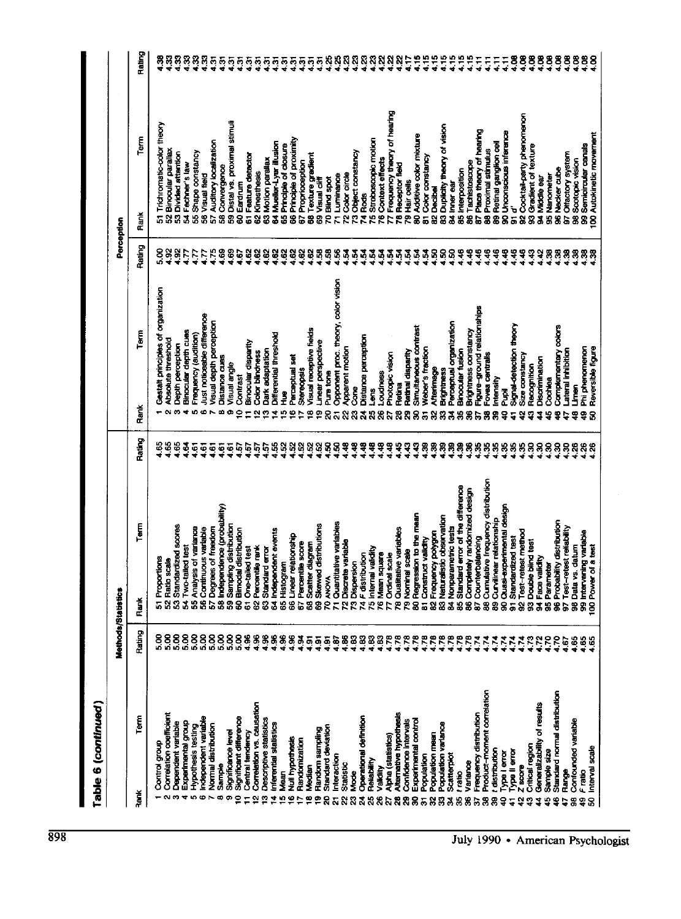(D O

 $\tilde{r}$ 

| $\frac{6}{2}$<br>$\frac{16}{16}$<br>$\frac{88}{14}$<br>នុន្<br>ន្ទន<br>ន្ទន្ទន្ទន្ទ<br>5<br>15<br>뜨<br>Ë<br>$\frac{88}{14}$<br>$\ddot{5}$<br>3 <sub>0</sub><br>8<br>$\frac{88}{14}$<br>$\overline{5}$<br>$\overline{5}$<br>X.<br>ន្មន្ទន្ទ<br>8<br>ត្តត្តត្<br>5L<br>ត្តតុតុត្<br>តុតុត្<br>Frequency theory of hearing<br>92 Cocktail-party phenomenon<br>Distal vs. proximal stimuli<br>Trichromatic-color theory<br>83 Duplicity theory of vision<br>Place theory of hearing<br>90 Unconscious inference<br>Autokinetic movement<br>80 Additive color mixture<br>Term<br>Principle of proximity<br>Stroboscopic motion<br>Auditory localization<br>Mueller-Lyer illusion<br>89 Retinal gangkon cell<br>Semicircular canals<br>Principle of closure<br>Gradient of texture<br>52 Binocular parallax<br>88 Proximal stimulus<br>Object constancy<br>Shape constancy<br>Divided attention<br>97 Offactory system<br>Texture gradient<br>Feature detector<br>Color constancy<br>Motion parallax<br>76 Context effects<br>Scotopic vision<br>Tachistoscope<br>Proprioception<br>54 Fechner's law<br>Receptor fleid<br>Convergence<br>96 Necker cube<br>85 Interposition<br>Kinesthesis<br>Coky circo<br><b>Visual field</b><br>95 Nanometer<br>Luminance<br>94 Middle ear<br>Blind spot<br>Visual cliff<br>Hair cells<br>Eardrum<br>B4 Inner ear<br><b>B2 Decibel</b><br>se<br>Se<br>ò<br>Rank<br>ē<br>35<br>ន្ល<br>.<br>\$<br>$\bar{3}$<br>$\bar{3}$<br>Ŕ<br>ġ<br>S)<br>$\overline{\mathbf{3}}$<br>.<br>8<br>58<br>g<br>Ż,<br>8<br>Ñ<br>Z<br>や<br>888<br>5<br>3<br>3<br>59<br>5<br>8<br>2<br>τ<br>5<br>္စ<br>c<br>Rating<br>$\frac{8}{2}$<br>5885<br>ន<br><sub>ឆ</sub><br>S,<br>888<br>888888888555555555556<br>$\ddot{\bm{z}}$<br>E<br>48<br>ş<br>ş<br>$\ddot{a}$<br>ą<br>왕·<br>8<br>æ,<br>ż<br>ż<br>ৼ<br>३<br>88<br>8<br>Opponent proc. theory, color vision<br>Gestalt principles of organization<br>Figure-ground relationships<br>Just noticeable difference<br>Visual depth perception<br>Perceptual organization<br>Signal-detection theory<br>Complementary colors<br>Simultaneous contrast<br>Visual receptive fields<br>Brightness constancy<br>Binocular depth cues<br>Term<br>Differential threshold<br>Frequency (audition)<br>Distance perception<br>Absolute threshold<br><b>Jinear perspective</b><br>Binocular disparity<br>Depth perception<br>Apparent motion<br>Phi phenomenon<br>Reversible figure<br>Neber's fraction<br>Dark adaptation<br><b>Binocular fusion</b><br>ateral inhibition<br>Retinal disparity<br>Color blindness<br>Photopic vision<br><b>Fovea</b> centrals<br><b>Size constancy</b><br><b>Perceptual set</b><br>Distance cues<br>Discrimination<br>Visual angle<br>Recognition<br>Afterimage<br>Stereopsis<br><b>Brightness</b><br>Pure tone<br>Loudness<br>Contrast<br>mensity<br><b>Dochlea</b><br>Retirna<br><b>Limen</b><br>ဦ<br>č<br>ን<br>ፈ<br>l<br>E<br>Rank<br>۰<br>∞<br>Φ<br>ø<br>4<br>io.<br>ю<br>0<br>œ<br>Φ<br>S<br>ឌ<br>8<br>ని<br>ጽ<br>2<br>8<br>8<br>9<br>ನ<br>g<br>8<br>వ్<br>ၛၙ<br>3<br>я<br>ទ្<br>ቋ<br>8<br>Rating<br>4.65<br>$\frac{65}{2}$<br>ខ្ញុំ<br>$\frac{3}{2}$<br>S,<br>នុ<br>ິສ<br>S,<br>8888<br>ន្លន<br>8ģ<br>$\frac{6}{16}$<br>ងុ<br>នុ<br>ងុ<br>8<br>ş<br>ş<br>8<br>8<br>88<br>8<br>Ŗ<br>$\overline{5}$<br><u>تو</u><br>Ş<br>$\frac{5}{1}$<br>4.57<br>ŗ,<br>57<br><b>G</b><br>8<br>8<br>8<br>8<br>$\frac{8}{26}$<br>Cumulative frequency distribution<br>85 Standard error of the difference<br>86 Completely randomized design<br>58 Independence (probability)<br>90 Quasi-experimental design<br><b>80 Regression to the mean</b><br>83 Naturalistic observation<br>89 Curvilinear relationship<br>96 Probability distribution<br>71 Quantitative variables<br>Term<br>69 Skewed distributions<br>53 Standardized scores<br>Sampling distribution<br>97 Test-retest reliability<br>84 Nonparametric tests<br>lysis of variance<br>57 Degrees of freedom<br>56 Continuous variable<br>78 Qualitative variables<br>64 Independent events<br>60 Birnodal distribution<br>Test-retest method<br>99 Intervening variable<br>82 Frequency polygon<br>66 Linear relationship<br>Standardized test<br>87 Counterbalancing<br>B1 Construct validity<br>93 Double blind test<br>72 Discrete variable<br>Percentile score<br>Scatter diagram<br>vs. datum<br>Power of a test<br>54 Two-tailed test<br>61 One-tailed test<br>Percentile rank<br>63 Standard error<br>75 Internal validity<br>79 Nominal scale<br>76 Mean square<br>74 F distribution<br>77 Ordinal scale<br>Face validity<br>Proportions<br>52 Ratio scale<br>65 Histogram<br>73 Dispersion<br>95 Parameter<br><b>TO ANOVA</b><br>55 Ana<br>98 Data<br>Rank<br>စ္တ<br>$\overline{6}$<br>5<br>ଞ<br>8<br>3<br>$\overline{8}$<br>8<br>ă<br>ā<br>Rating<br>ន្លន<br>ន្លី<br>5.00<br>S.<br><u>ន</u><br>8888888<br>688888<br>533<br>4.78<br>4.78<br>4.78<br>$\frac{478}{478}$<br>4.78<br>4.78<br>4.78<br>4.78<br>4.78<br>ð<br>$\ddot{6}$<br>$\frac{8}{1}$<br>ខ្មែ<br>88<br>$\frac{3}{2}$<br>4.74<br>474<br>4.74<br>さだす<br>4.74<br>4.73<br>4.72<br>ā<br>$\overline{5}$<br>$\frac{5}{2}$<br>4.70<br>4.65<br>4.65<br>4.67<br>Standard normal distribution<br><b>Product-moment correlation</b><br>Correlation vs. causation<br>Generalizability of results<br>Alternativa hypothesis<br>Frequency distribution<br>Correlation coefficient<br>Term<br>Operational definition<br>Φ<br>Significant difference<br>Descriptive statistics<br>Confidence intervals<br>Experimental control<br>Confounded variable<br>Dependent variable<br>Experimental group<br>Independent variabl<br>Population variance<br>Inferential statistics<br>Normal distribution<br>Hypothesis testing<br>Standard deviation<br>Random sampling<br>Central tendency<br>Significance level<br>Population mean<br>Alpha (statistics)<br>Null hypothesis<br>Randomization<br>Control group<br>Critical region<br>Interval scale<br>t distribution<br>Type II error<br>Sample size<br><b>Type I error</b><br>Population<br>Scatterplot<br>Interaction<br>Reliability<br>Variance<br>Statistic<br><b>Sample</b><br>Median<br>Z score<br>Validity<br>Range<br>Fratio<br><b>Sexe</b><br>Nean<br>l ratio<br><b>Rank</b><br>÷<br>in.<br>일<br>2<br>ወ<br>≘<br>₫<br>⊵<br>٥<br>₽<br>e,<br>ន<br><b>សិន្តិសិន្តិសិន្តិក្នុងខ្លួន</b> ភ<br>$\overline{\mathbf{a}}$<br>88<br>ş<br>Ş<br>ន្ល<br>ą<br>$\boldsymbol{c}$<br>÷<br>ş<br>8<br>긬<br>4<br>5 |  | Methods/Statistics |  |  | Perception |  |          |
|-------------------------------------------------------------------------------------------------------------------------------------------------------------------------------------------------------------------------------------------------------------------------------------------------------------------------------------------------------------------------------------------------------------------------------------------------------------------------------------------------------------------------------------------------------------------------------------------------------------------------------------------------------------------------------------------------------------------------------------------------------------------------------------------------------------------------------------------------------------------------------------------------------------------------------------------------------------------------------------------------------------------------------------------------------------------------------------------------------------------------------------------------------------------------------------------------------------------------------------------------------------------------------------------------------------------------------------------------------------------------------------------------------------------------------------------------------------------------------------------------------------------------------------------------------------------------------------------------------------------------------------------------------------------------------------------------------------------------------------------------------------------------------------------------------------------------------------------------------------------------------------------------------------------------------------------------------------------------------------------------------------------------------------------------------------------------------------------------------------------------------------------------------------------------------------------------------------------------------------------------------------------------------------------------------------------------------------------------------------------------------------------------------------------------------------------------------------------------------------------------------------------------------------------------------------------------------------------------------------------------------------------------------------------------------------------------------------------------------------------------------------------------------------------------------------------------------------------------------------------------------------------------------------------------------------------------------------------------------------------------------------------------------------------------------------------------------------------------------------------------------------------------------------------------------------------------------------------------------------------------------------------------------------------------------------------------------------------------------------------------------------------------------------------------------------------------------------------------------------------------------------------------------------------------------------------------------------------------------------------------------------------------------------------------------------------------------------------------------------------------------------------------------------------------------------------------------------------------------------------------------------------------------------------------------------------------------------------------------------------------------------------------------------------------------------------------------------------------------------------------------------------------------------------------------------------------------------------------------------------------------------------------------------------------------------------------------------------------------------------------------------------------------------------------------------------------------------------------------------------------------------------------------------------------------------------------------------------------------------------------------------------------------------------------------------------------------------------------------------------------------------------------------------------------------------------------------------------------------------------------------------------------------------------------------------------------------------------------------------------------------------------------------------------------------------------------------------------------------------------------------------------------------------------------------------------------------------------------------------------------------------------------------------------------------------------------------------------------------------------------------------------------------------------------------------------------------------------------------------------------------------------------------------------------------------------------------------------------------------------------------------------------------------------------------------------------------------------------------------------------------------------------------------------------------------------------------------------------------------------------------------------------------------------------------------------------------------------------------------------------------------------------------------------------------------------------------------------------------------------------------------------------------------------------------------------------------------------------------------------------------------------------------------------------------------------------------------------------------------------------------------------------------------------------|--|--------------------|--|--|------------|--|----------|
|                                                                                                                                                                                                                                                                                                                                                                                                                                                                                                                                                                                                                                                                                                                                                                                                                                                                                                                                                                                                                                                                                                                                                                                                                                                                                                                                                                                                                                                                                                                                                                                                                                                                                                                                                                                                                                                                                                                                                                                                                                                                                                                                                                                                                                                                                                                                                                                                                                                                                                                                                                                                                                                                                                                                                                                                                                                                                                                                                                                                                                                                                                                                                                                                                                                                                                                                                                                                                                                                                                                                                                                                                                                                                                                                                                                                                                                                                                                                                                                                                                                                                                                                                                                                                                                                                                                                                                                                                                                                                                                                                                                                                                                                                                                                                                                                                                                                                                                                                                                                                                                                                                                                                                                                                                                                                                                                                                                                                                                                                                                                                                                                                                                                                                                                                                                                                                                                                                                                                                                                                                                                                                                                                                                                                                                                                                                                                                                                                         |  |                    |  |  |            |  | Rating   |
|                                                                                                                                                                                                                                                                                                                                                                                                                                                                                                                                                                                                                                                                                                                                                                                                                                                                                                                                                                                                                                                                                                                                                                                                                                                                                                                                                                                                                                                                                                                                                                                                                                                                                                                                                                                                                                                                                                                                                                                                                                                                                                                                                                                                                                                                                                                                                                                                                                                                                                                                                                                                                                                                                                                                                                                                                                                                                                                                                                                                                                                                                                                                                                                                                                                                                                                                                                                                                                                                                                                                                                                                                                                                                                                                                                                                                                                                                                                                                                                                                                                                                                                                                                                                                                                                                                                                                                                                                                                                                                                                                                                                                                                                                                                                                                                                                                                                                                                                                                                                                                                                                                                                                                                                                                                                                                                                                                                                                                                                                                                                                                                                                                                                                                                                                                                                                                                                                                                                                                                                                                                                                                                                                                                                                                                                                                                                                                                                                         |  |                    |  |  |            |  |          |
|                                                                                                                                                                                                                                                                                                                                                                                                                                                                                                                                                                                                                                                                                                                                                                                                                                                                                                                                                                                                                                                                                                                                                                                                                                                                                                                                                                                                                                                                                                                                                                                                                                                                                                                                                                                                                                                                                                                                                                                                                                                                                                                                                                                                                                                                                                                                                                                                                                                                                                                                                                                                                                                                                                                                                                                                                                                                                                                                                                                                                                                                                                                                                                                                                                                                                                                                                                                                                                                                                                                                                                                                                                                                                                                                                                                                                                                                                                                                                                                                                                                                                                                                                                                                                                                                                                                                                                                                                                                                                                                                                                                                                                                                                                                                                                                                                                                                                                                                                                                                                                                                                                                                                                                                                                                                                                                                                                                                                                                                                                                                                                                                                                                                                                                                                                                                                                                                                                                                                                                                                                                                                                                                                                                                                                                                                                                                                                                                                         |  |                    |  |  |            |  |          |
|                                                                                                                                                                                                                                                                                                                                                                                                                                                                                                                                                                                                                                                                                                                                                                                                                                                                                                                                                                                                                                                                                                                                                                                                                                                                                                                                                                                                                                                                                                                                                                                                                                                                                                                                                                                                                                                                                                                                                                                                                                                                                                                                                                                                                                                                                                                                                                                                                                                                                                                                                                                                                                                                                                                                                                                                                                                                                                                                                                                                                                                                                                                                                                                                                                                                                                                                                                                                                                                                                                                                                                                                                                                                                                                                                                                                                                                                                                                                                                                                                                                                                                                                                                                                                                                                                                                                                                                                                                                                                                                                                                                                                                                                                                                                                                                                                                                                                                                                                                                                                                                                                                                                                                                                                                                                                                                                                                                                                                                                                                                                                                                                                                                                                                                                                                                                                                                                                                                                                                                                                                                                                                                                                                                                                                                                                                                                                                                                                         |  |                    |  |  |            |  |          |
|                                                                                                                                                                                                                                                                                                                                                                                                                                                                                                                                                                                                                                                                                                                                                                                                                                                                                                                                                                                                                                                                                                                                                                                                                                                                                                                                                                                                                                                                                                                                                                                                                                                                                                                                                                                                                                                                                                                                                                                                                                                                                                                                                                                                                                                                                                                                                                                                                                                                                                                                                                                                                                                                                                                                                                                                                                                                                                                                                                                                                                                                                                                                                                                                                                                                                                                                                                                                                                                                                                                                                                                                                                                                                                                                                                                                                                                                                                                                                                                                                                                                                                                                                                                                                                                                                                                                                                                                                                                                                                                                                                                                                                                                                                                                                                                                                                                                                                                                                                                                                                                                                                                                                                                                                                                                                                                                                                                                                                                                                                                                                                                                                                                                                                                                                                                                                                                                                                                                                                                                                                                                                                                                                                                                                                                                                                                                                                                                                         |  |                    |  |  |            |  |          |
|                                                                                                                                                                                                                                                                                                                                                                                                                                                                                                                                                                                                                                                                                                                                                                                                                                                                                                                                                                                                                                                                                                                                                                                                                                                                                                                                                                                                                                                                                                                                                                                                                                                                                                                                                                                                                                                                                                                                                                                                                                                                                                                                                                                                                                                                                                                                                                                                                                                                                                                                                                                                                                                                                                                                                                                                                                                                                                                                                                                                                                                                                                                                                                                                                                                                                                                                                                                                                                                                                                                                                                                                                                                                                                                                                                                                                                                                                                                                                                                                                                                                                                                                                                                                                                                                                                                                                                                                                                                                                                                                                                                                                                                                                                                                                                                                                                                                                                                                                                                                                                                                                                                                                                                                                                                                                                                                                                                                                                                                                                                                                                                                                                                                                                                                                                                                                                                                                                                                                                                                                                                                                                                                                                                                                                                                                                                                                                                                                         |  |                    |  |  |            |  |          |
|                                                                                                                                                                                                                                                                                                                                                                                                                                                                                                                                                                                                                                                                                                                                                                                                                                                                                                                                                                                                                                                                                                                                                                                                                                                                                                                                                                                                                                                                                                                                                                                                                                                                                                                                                                                                                                                                                                                                                                                                                                                                                                                                                                                                                                                                                                                                                                                                                                                                                                                                                                                                                                                                                                                                                                                                                                                                                                                                                                                                                                                                                                                                                                                                                                                                                                                                                                                                                                                                                                                                                                                                                                                                                                                                                                                                                                                                                                                                                                                                                                                                                                                                                                                                                                                                                                                                                                                                                                                                                                                                                                                                                                                                                                                                                                                                                                                                                                                                                                                                                                                                                                                                                                                                                                                                                                                                                                                                                                                                                                                                                                                                                                                                                                                                                                                                                                                                                                                                                                                                                                                                                                                                                                                                                                                                                                                                                                                                                         |  |                    |  |  |            |  |          |
|                                                                                                                                                                                                                                                                                                                                                                                                                                                                                                                                                                                                                                                                                                                                                                                                                                                                                                                                                                                                                                                                                                                                                                                                                                                                                                                                                                                                                                                                                                                                                                                                                                                                                                                                                                                                                                                                                                                                                                                                                                                                                                                                                                                                                                                                                                                                                                                                                                                                                                                                                                                                                                                                                                                                                                                                                                                                                                                                                                                                                                                                                                                                                                                                                                                                                                                                                                                                                                                                                                                                                                                                                                                                                                                                                                                                                                                                                                                                                                                                                                                                                                                                                                                                                                                                                                                                                                                                                                                                                                                                                                                                                                                                                                                                                                                                                                                                                                                                                                                                                                                                                                                                                                                                                                                                                                                                                                                                                                                                                                                                                                                                                                                                                                                                                                                                                                                                                                                                                                                                                                                                                                                                                                                                                                                                                                                                                                                                                         |  |                    |  |  |            |  |          |
|                                                                                                                                                                                                                                                                                                                                                                                                                                                                                                                                                                                                                                                                                                                                                                                                                                                                                                                                                                                                                                                                                                                                                                                                                                                                                                                                                                                                                                                                                                                                                                                                                                                                                                                                                                                                                                                                                                                                                                                                                                                                                                                                                                                                                                                                                                                                                                                                                                                                                                                                                                                                                                                                                                                                                                                                                                                                                                                                                                                                                                                                                                                                                                                                                                                                                                                                                                                                                                                                                                                                                                                                                                                                                                                                                                                                                                                                                                                                                                                                                                                                                                                                                                                                                                                                                                                                                                                                                                                                                                                                                                                                                                                                                                                                                                                                                                                                                                                                                                                                                                                                                                                                                                                                                                                                                                                                                                                                                                                                                                                                                                                                                                                                                                                                                                                                                                                                                                                                                                                                                                                                                                                                                                                                                                                                                                                                                                                                                         |  |                    |  |  |            |  |          |
|                                                                                                                                                                                                                                                                                                                                                                                                                                                                                                                                                                                                                                                                                                                                                                                                                                                                                                                                                                                                                                                                                                                                                                                                                                                                                                                                                                                                                                                                                                                                                                                                                                                                                                                                                                                                                                                                                                                                                                                                                                                                                                                                                                                                                                                                                                                                                                                                                                                                                                                                                                                                                                                                                                                                                                                                                                                                                                                                                                                                                                                                                                                                                                                                                                                                                                                                                                                                                                                                                                                                                                                                                                                                                                                                                                                                                                                                                                                                                                                                                                                                                                                                                                                                                                                                                                                                                                                                                                                                                                                                                                                                                                                                                                                                                                                                                                                                                                                                                                                                                                                                                                                                                                                                                                                                                                                                                                                                                                                                                                                                                                                                                                                                                                                                                                                                                                                                                                                                                                                                                                                                                                                                                                                                                                                                                                                                                                                                                         |  |                    |  |  |            |  |          |
|                                                                                                                                                                                                                                                                                                                                                                                                                                                                                                                                                                                                                                                                                                                                                                                                                                                                                                                                                                                                                                                                                                                                                                                                                                                                                                                                                                                                                                                                                                                                                                                                                                                                                                                                                                                                                                                                                                                                                                                                                                                                                                                                                                                                                                                                                                                                                                                                                                                                                                                                                                                                                                                                                                                                                                                                                                                                                                                                                                                                                                                                                                                                                                                                                                                                                                                                                                                                                                                                                                                                                                                                                                                                                                                                                                                                                                                                                                                                                                                                                                                                                                                                                                                                                                                                                                                                                                                                                                                                                                                                                                                                                                                                                                                                                                                                                                                                                                                                                                                                                                                                                                                                                                                                                                                                                                                                                                                                                                                                                                                                                                                                                                                                                                                                                                                                                                                                                                                                                                                                                                                                                                                                                                                                                                                                                                                                                                                                                         |  |                    |  |  |            |  |          |
|                                                                                                                                                                                                                                                                                                                                                                                                                                                                                                                                                                                                                                                                                                                                                                                                                                                                                                                                                                                                                                                                                                                                                                                                                                                                                                                                                                                                                                                                                                                                                                                                                                                                                                                                                                                                                                                                                                                                                                                                                                                                                                                                                                                                                                                                                                                                                                                                                                                                                                                                                                                                                                                                                                                                                                                                                                                                                                                                                                                                                                                                                                                                                                                                                                                                                                                                                                                                                                                                                                                                                                                                                                                                                                                                                                                                                                                                                                                                                                                                                                                                                                                                                                                                                                                                                                                                                                                                                                                                                                                                                                                                                                                                                                                                                                                                                                                                                                                                                                                                                                                                                                                                                                                                                                                                                                                                                                                                                                                                                                                                                                                                                                                                                                                                                                                                                                                                                                                                                                                                                                                                                                                                                                                                                                                                                                                                                                                                                         |  |                    |  |  |            |  |          |
|                                                                                                                                                                                                                                                                                                                                                                                                                                                                                                                                                                                                                                                                                                                                                                                                                                                                                                                                                                                                                                                                                                                                                                                                                                                                                                                                                                                                                                                                                                                                                                                                                                                                                                                                                                                                                                                                                                                                                                                                                                                                                                                                                                                                                                                                                                                                                                                                                                                                                                                                                                                                                                                                                                                                                                                                                                                                                                                                                                                                                                                                                                                                                                                                                                                                                                                                                                                                                                                                                                                                                                                                                                                                                                                                                                                                                                                                                                                                                                                                                                                                                                                                                                                                                                                                                                                                                                                                                                                                                                                                                                                                                                                                                                                                                                                                                                                                                                                                                                                                                                                                                                                                                                                                                                                                                                                                                                                                                                                                                                                                                                                                                                                                                                                                                                                                                                                                                                                                                                                                                                                                                                                                                                                                                                                                                                                                                                                                                         |  |                    |  |  |            |  |          |
|                                                                                                                                                                                                                                                                                                                                                                                                                                                                                                                                                                                                                                                                                                                                                                                                                                                                                                                                                                                                                                                                                                                                                                                                                                                                                                                                                                                                                                                                                                                                                                                                                                                                                                                                                                                                                                                                                                                                                                                                                                                                                                                                                                                                                                                                                                                                                                                                                                                                                                                                                                                                                                                                                                                                                                                                                                                                                                                                                                                                                                                                                                                                                                                                                                                                                                                                                                                                                                                                                                                                                                                                                                                                                                                                                                                                                                                                                                                                                                                                                                                                                                                                                                                                                                                                                                                                                                                                                                                                                                                                                                                                                                                                                                                                                                                                                                                                                                                                                                                                                                                                                                                                                                                                                                                                                                                                                                                                                                                                                                                                                                                                                                                                                                                                                                                                                                                                                                                                                                                                                                                                                                                                                                                                                                                                                                                                                                                                                         |  |                    |  |  |            |  |          |
|                                                                                                                                                                                                                                                                                                                                                                                                                                                                                                                                                                                                                                                                                                                                                                                                                                                                                                                                                                                                                                                                                                                                                                                                                                                                                                                                                                                                                                                                                                                                                                                                                                                                                                                                                                                                                                                                                                                                                                                                                                                                                                                                                                                                                                                                                                                                                                                                                                                                                                                                                                                                                                                                                                                                                                                                                                                                                                                                                                                                                                                                                                                                                                                                                                                                                                                                                                                                                                                                                                                                                                                                                                                                                                                                                                                                                                                                                                                                                                                                                                                                                                                                                                                                                                                                                                                                                                                                                                                                                                                                                                                                                                                                                                                                                                                                                                                                                                                                                                                                                                                                                                                                                                                                                                                                                                                                                                                                                                                                                                                                                                                                                                                                                                                                                                                                                                                                                                                                                                                                                                                                                                                                                                                                                                                                                                                                                                                                                         |  |                    |  |  |            |  |          |
|                                                                                                                                                                                                                                                                                                                                                                                                                                                                                                                                                                                                                                                                                                                                                                                                                                                                                                                                                                                                                                                                                                                                                                                                                                                                                                                                                                                                                                                                                                                                                                                                                                                                                                                                                                                                                                                                                                                                                                                                                                                                                                                                                                                                                                                                                                                                                                                                                                                                                                                                                                                                                                                                                                                                                                                                                                                                                                                                                                                                                                                                                                                                                                                                                                                                                                                                                                                                                                                                                                                                                                                                                                                                                                                                                                                                                                                                                                                                                                                                                                                                                                                                                                                                                                                                                                                                                                                                                                                                                                                                                                                                                                                                                                                                                                                                                                                                                                                                                                                                                                                                                                                                                                                                                                                                                                                                                                                                                                                                                                                                                                                                                                                                                                                                                                                                                                                                                                                                                                                                                                                                                                                                                                                                                                                                                                                                                                                                                         |  |                    |  |  |            |  |          |
|                                                                                                                                                                                                                                                                                                                                                                                                                                                                                                                                                                                                                                                                                                                                                                                                                                                                                                                                                                                                                                                                                                                                                                                                                                                                                                                                                                                                                                                                                                                                                                                                                                                                                                                                                                                                                                                                                                                                                                                                                                                                                                                                                                                                                                                                                                                                                                                                                                                                                                                                                                                                                                                                                                                                                                                                                                                                                                                                                                                                                                                                                                                                                                                                                                                                                                                                                                                                                                                                                                                                                                                                                                                                                                                                                                                                                                                                                                                                                                                                                                                                                                                                                                                                                                                                                                                                                                                                                                                                                                                                                                                                                                                                                                                                                                                                                                                                                                                                                                                                                                                                                                                                                                                                                                                                                                                                                                                                                                                                                                                                                                                                                                                                                                                                                                                                                                                                                                                                                                                                                                                                                                                                                                                                                                                                                                                                                                                                                         |  |                    |  |  |            |  |          |
|                                                                                                                                                                                                                                                                                                                                                                                                                                                                                                                                                                                                                                                                                                                                                                                                                                                                                                                                                                                                                                                                                                                                                                                                                                                                                                                                                                                                                                                                                                                                                                                                                                                                                                                                                                                                                                                                                                                                                                                                                                                                                                                                                                                                                                                                                                                                                                                                                                                                                                                                                                                                                                                                                                                                                                                                                                                                                                                                                                                                                                                                                                                                                                                                                                                                                                                                                                                                                                                                                                                                                                                                                                                                                                                                                                                                                                                                                                                                                                                                                                                                                                                                                                                                                                                                                                                                                                                                                                                                                                                                                                                                                                                                                                                                                                                                                                                                                                                                                                                                                                                                                                                                                                                                                                                                                                                                                                                                                                                                                                                                                                                                                                                                                                                                                                                                                                                                                                                                                                                                                                                                                                                                                                                                                                                                                                                                                                                                                         |  |                    |  |  |            |  |          |
|                                                                                                                                                                                                                                                                                                                                                                                                                                                                                                                                                                                                                                                                                                                                                                                                                                                                                                                                                                                                                                                                                                                                                                                                                                                                                                                                                                                                                                                                                                                                                                                                                                                                                                                                                                                                                                                                                                                                                                                                                                                                                                                                                                                                                                                                                                                                                                                                                                                                                                                                                                                                                                                                                                                                                                                                                                                                                                                                                                                                                                                                                                                                                                                                                                                                                                                                                                                                                                                                                                                                                                                                                                                                                                                                                                                                                                                                                                                                                                                                                                                                                                                                                                                                                                                                                                                                                                                                                                                                                                                                                                                                                                                                                                                                                                                                                                                                                                                                                                                                                                                                                                                                                                                                                                                                                                                                                                                                                                                                                                                                                                                                                                                                                                                                                                                                                                                                                                                                                                                                                                                                                                                                                                                                                                                                                                                                                                                                                         |  |                    |  |  |            |  |          |
|                                                                                                                                                                                                                                                                                                                                                                                                                                                                                                                                                                                                                                                                                                                                                                                                                                                                                                                                                                                                                                                                                                                                                                                                                                                                                                                                                                                                                                                                                                                                                                                                                                                                                                                                                                                                                                                                                                                                                                                                                                                                                                                                                                                                                                                                                                                                                                                                                                                                                                                                                                                                                                                                                                                                                                                                                                                                                                                                                                                                                                                                                                                                                                                                                                                                                                                                                                                                                                                                                                                                                                                                                                                                                                                                                                                                                                                                                                                                                                                                                                                                                                                                                                                                                                                                                                                                                                                                                                                                                                                                                                                                                                                                                                                                                                                                                                                                                                                                                                                                                                                                                                                                                                                                                                                                                                                                                                                                                                                                                                                                                                                                                                                                                                                                                                                                                                                                                                                                                                                                                                                                                                                                                                                                                                                                                                                                                                                                                         |  |                    |  |  |            |  |          |
|                                                                                                                                                                                                                                                                                                                                                                                                                                                                                                                                                                                                                                                                                                                                                                                                                                                                                                                                                                                                                                                                                                                                                                                                                                                                                                                                                                                                                                                                                                                                                                                                                                                                                                                                                                                                                                                                                                                                                                                                                                                                                                                                                                                                                                                                                                                                                                                                                                                                                                                                                                                                                                                                                                                                                                                                                                                                                                                                                                                                                                                                                                                                                                                                                                                                                                                                                                                                                                                                                                                                                                                                                                                                                                                                                                                                                                                                                                                                                                                                                                                                                                                                                                                                                                                                                                                                                                                                                                                                                                                                                                                                                                                                                                                                                                                                                                                                                                                                                                                                                                                                                                                                                                                                                                                                                                                                                                                                                                                                                                                                                                                                                                                                                                                                                                                                                                                                                                                                                                                                                                                                                                                                                                                                                                                                                                                                                                                                                         |  |                    |  |  |            |  | Ķ        |
|                                                                                                                                                                                                                                                                                                                                                                                                                                                                                                                                                                                                                                                                                                                                                                                                                                                                                                                                                                                                                                                                                                                                                                                                                                                                                                                                                                                                                                                                                                                                                                                                                                                                                                                                                                                                                                                                                                                                                                                                                                                                                                                                                                                                                                                                                                                                                                                                                                                                                                                                                                                                                                                                                                                                                                                                                                                                                                                                                                                                                                                                                                                                                                                                                                                                                                                                                                                                                                                                                                                                                                                                                                                                                                                                                                                                                                                                                                                                                                                                                                                                                                                                                                                                                                                                                                                                                                                                                                                                                                                                                                                                                                                                                                                                                                                                                                                                                                                                                                                                                                                                                                                                                                                                                                                                                                                                                                                                                                                                                                                                                                                                                                                                                                                                                                                                                                                                                                                                                                                                                                                                                                                                                                                                                                                                                                                                                                                                                         |  |                    |  |  |            |  |          |
|                                                                                                                                                                                                                                                                                                                                                                                                                                                                                                                                                                                                                                                                                                                                                                                                                                                                                                                                                                                                                                                                                                                                                                                                                                                                                                                                                                                                                                                                                                                                                                                                                                                                                                                                                                                                                                                                                                                                                                                                                                                                                                                                                                                                                                                                                                                                                                                                                                                                                                                                                                                                                                                                                                                                                                                                                                                                                                                                                                                                                                                                                                                                                                                                                                                                                                                                                                                                                                                                                                                                                                                                                                                                                                                                                                                                                                                                                                                                                                                                                                                                                                                                                                                                                                                                                                                                                                                                                                                                                                                                                                                                                                                                                                                                                                                                                                                                                                                                                                                                                                                                                                                                                                                                                                                                                                                                                                                                                                                                                                                                                                                                                                                                                                                                                                                                                                                                                                                                                                                                                                                                                                                                                                                                                                                                                                                                                                                                                         |  |                    |  |  |            |  |          |
|                                                                                                                                                                                                                                                                                                                                                                                                                                                                                                                                                                                                                                                                                                                                                                                                                                                                                                                                                                                                                                                                                                                                                                                                                                                                                                                                                                                                                                                                                                                                                                                                                                                                                                                                                                                                                                                                                                                                                                                                                                                                                                                                                                                                                                                                                                                                                                                                                                                                                                                                                                                                                                                                                                                                                                                                                                                                                                                                                                                                                                                                                                                                                                                                                                                                                                                                                                                                                                                                                                                                                                                                                                                                                                                                                                                                                                                                                                                                                                                                                                                                                                                                                                                                                                                                                                                                                                                                                                                                                                                                                                                                                                                                                                                                                                                                                                                                                                                                                                                                                                                                                                                                                                                                                                                                                                                                                                                                                                                                                                                                                                                                                                                                                                                                                                                                                                                                                                                                                                                                                                                                                                                                                                                                                                                                                                                                                                                                                         |  |                    |  |  |            |  |          |
|                                                                                                                                                                                                                                                                                                                                                                                                                                                                                                                                                                                                                                                                                                                                                                                                                                                                                                                                                                                                                                                                                                                                                                                                                                                                                                                                                                                                                                                                                                                                                                                                                                                                                                                                                                                                                                                                                                                                                                                                                                                                                                                                                                                                                                                                                                                                                                                                                                                                                                                                                                                                                                                                                                                                                                                                                                                                                                                                                                                                                                                                                                                                                                                                                                                                                                                                                                                                                                                                                                                                                                                                                                                                                                                                                                                                                                                                                                                                                                                                                                                                                                                                                                                                                                                                                                                                                                                                                                                                                                                                                                                                                                                                                                                                                                                                                                                                                                                                                                                                                                                                                                                                                                                                                                                                                                                                                                                                                                                                                                                                                                                                                                                                                                                                                                                                                                                                                                                                                                                                                                                                                                                                                                                                                                                                                                                                                                                                                         |  |                    |  |  |            |  |          |
|                                                                                                                                                                                                                                                                                                                                                                                                                                                                                                                                                                                                                                                                                                                                                                                                                                                                                                                                                                                                                                                                                                                                                                                                                                                                                                                                                                                                                                                                                                                                                                                                                                                                                                                                                                                                                                                                                                                                                                                                                                                                                                                                                                                                                                                                                                                                                                                                                                                                                                                                                                                                                                                                                                                                                                                                                                                                                                                                                                                                                                                                                                                                                                                                                                                                                                                                                                                                                                                                                                                                                                                                                                                                                                                                                                                                                                                                                                                                                                                                                                                                                                                                                                                                                                                                                                                                                                                                                                                                                                                                                                                                                                                                                                                                                                                                                                                                                                                                                                                                                                                                                                                                                                                                                                                                                                                                                                                                                                                                                                                                                                                                                                                                                                                                                                                                                                                                                                                                                                                                                                                                                                                                                                                                                                                                                                                                                                                                                         |  |                    |  |  |            |  |          |
|                                                                                                                                                                                                                                                                                                                                                                                                                                                                                                                                                                                                                                                                                                                                                                                                                                                                                                                                                                                                                                                                                                                                                                                                                                                                                                                                                                                                                                                                                                                                                                                                                                                                                                                                                                                                                                                                                                                                                                                                                                                                                                                                                                                                                                                                                                                                                                                                                                                                                                                                                                                                                                                                                                                                                                                                                                                                                                                                                                                                                                                                                                                                                                                                                                                                                                                                                                                                                                                                                                                                                                                                                                                                                                                                                                                                                                                                                                                                                                                                                                                                                                                                                                                                                                                                                                                                                                                                                                                                                                                                                                                                                                                                                                                                                                                                                                                                                                                                                                                                                                                                                                                                                                                                                                                                                                                                                                                                                                                                                                                                                                                                                                                                                                                                                                                                                                                                                                                                                                                                                                                                                                                                                                                                                                                                                                                                                                                                                         |  |                    |  |  |            |  |          |
|                                                                                                                                                                                                                                                                                                                                                                                                                                                                                                                                                                                                                                                                                                                                                                                                                                                                                                                                                                                                                                                                                                                                                                                                                                                                                                                                                                                                                                                                                                                                                                                                                                                                                                                                                                                                                                                                                                                                                                                                                                                                                                                                                                                                                                                                                                                                                                                                                                                                                                                                                                                                                                                                                                                                                                                                                                                                                                                                                                                                                                                                                                                                                                                                                                                                                                                                                                                                                                                                                                                                                                                                                                                                                                                                                                                                                                                                                                                                                                                                                                                                                                                                                                                                                                                                                                                                                                                                                                                                                                                                                                                                                                                                                                                                                                                                                                                                                                                                                                                                                                                                                                                                                                                                                                                                                                                                                                                                                                                                                                                                                                                                                                                                                                                                                                                                                                                                                                                                                                                                                                                                                                                                                                                                                                                                                                                                                                                                                         |  |                    |  |  |            |  |          |
|                                                                                                                                                                                                                                                                                                                                                                                                                                                                                                                                                                                                                                                                                                                                                                                                                                                                                                                                                                                                                                                                                                                                                                                                                                                                                                                                                                                                                                                                                                                                                                                                                                                                                                                                                                                                                                                                                                                                                                                                                                                                                                                                                                                                                                                                                                                                                                                                                                                                                                                                                                                                                                                                                                                                                                                                                                                                                                                                                                                                                                                                                                                                                                                                                                                                                                                                                                                                                                                                                                                                                                                                                                                                                                                                                                                                                                                                                                                                                                                                                                                                                                                                                                                                                                                                                                                                                                                                                                                                                                                                                                                                                                                                                                                                                                                                                                                                                                                                                                                                                                                                                                                                                                                                                                                                                                                                                                                                                                                                                                                                                                                                                                                                                                                                                                                                                                                                                                                                                                                                                                                                                                                                                                                                                                                                                                                                                                                                                         |  |                    |  |  |            |  |          |
|                                                                                                                                                                                                                                                                                                                                                                                                                                                                                                                                                                                                                                                                                                                                                                                                                                                                                                                                                                                                                                                                                                                                                                                                                                                                                                                                                                                                                                                                                                                                                                                                                                                                                                                                                                                                                                                                                                                                                                                                                                                                                                                                                                                                                                                                                                                                                                                                                                                                                                                                                                                                                                                                                                                                                                                                                                                                                                                                                                                                                                                                                                                                                                                                                                                                                                                                                                                                                                                                                                                                                                                                                                                                                                                                                                                                                                                                                                                                                                                                                                                                                                                                                                                                                                                                                                                                                                                                                                                                                                                                                                                                                                                                                                                                                                                                                                                                                                                                                                                                                                                                                                                                                                                                                                                                                                                                                                                                                                                                                                                                                                                                                                                                                                                                                                                                                                                                                                                                                                                                                                                                                                                                                                                                                                                                                                                                                                                                                         |  |                    |  |  |            |  |          |
|                                                                                                                                                                                                                                                                                                                                                                                                                                                                                                                                                                                                                                                                                                                                                                                                                                                                                                                                                                                                                                                                                                                                                                                                                                                                                                                                                                                                                                                                                                                                                                                                                                                                                                                                                                                                                                                                                                                                                                                                                                                                                                                                                                                                                                                                                                                                                                                                                                                                                                                                                                                                                                                                                                                                                                                                                                                                                                                                                                                                                                                                                                                                                                                                                                                                                                                                                                                                                                                                                                                                                                                                                                                                                                                                                                                                                                                                                                                                                                                                                                                                                                                                                                                                                                                                                                                                                                                                                                                                                                                                                                                                                                                                                                                                                                                                                                                                                                                                                                                                                                                                                                                                                                                                                                                                                                                                                                                                                                                                                                                                                                                                                                                                                                                                                                                                                                                                                                                                                                                                                                                                                                                                                                                                                                                                                                                                                                                                                         |  |                    |  |  |            |  | <u>្</u> |
|                                                                                                                                                                                                                                                                                                                                                                                                                                                                                                                                                                                                                                                                                                                                                                                                                                                                                                                                                                                                                                                                                                                                                                                                                                                                                                                                                                                                                                                                                                                                                                                                                                                                                                                                                                                                                                                                                                                                                                                                                                                                                                                                                                                                                                                                                                                                                                                                                                                                                                                                                                                                                                                                                                                                                                                                                                                                                                                                                                                                                                                                                                                                                                                                                                                                                                                                                                                                                                                                                                                                                                                                                                                                                                                                                                                                                                                                                                                                                                                                                                                                                                                                                                                                                                                                                                                                                                                                                                                                                                                                                                                                                                                                                                                                                                                                                                                                                                                                                                                                                                                                                                                                                                                                                                                                                                                                                                                                                                                                                                                                                                                                                                                                                                                                                                                                                                                                                                                                                                                                                                                                                                                                                                                                                                                                                                                                                                                                                         |  |                    |  |  |            |  |          |
|                                                                                                                                                                                                                                                                                                                                                                                                                                                                                                                                                                                                                                                                                                                                                                                                                                                                                                                                                                                                                                                                                                                                                                                                                                                                                                                                                                                                                                                                                                                                                                                                                                                                                                                                                                                                                                                                                                                                                                                                                                                                                                                                                                                                                                                                                                                                                                                                                                                                                                                                                                                                                                                                                                                                                                                                                                                                                                                                                                                                                                                                                                                                                                                                                                                                                                                                                                                                                                                                                                                                                                                                                                                                                                                                                                                                                                                                                                                                                                                                                                                                                                                                                                                                                                                                                                                                                                                                                                                                                                                                                                                                                                                                                                                                                                                                                                                                                                                                                                                                                                                                                                                                                                                                                                                                                                                                                                                                                                                                                                                                                                                                                                                                                                                                                                                                                                                                                                                                                                                                                                                                                                                                                                                                                                                                                                                                                                                                                         |  |                    |  |  |            |  |          |
|                                                                                                                                                                                                                                                                                                                                                                                                                                                                                                                                                                                                                                                                                                                                                                                                                                                                                                                                                                                                                                                                                                                                                                                                                                                                                                                                                                                                                                                                                                                                                                                                                                                                                                                                                                                                                                                                                                                                                                                                                                                                                                                                                                                                                                                                                                                                                                                                                                                                                                                                                                                                                                                                                                                                                                                                                                                                                                                                                                                                                                                                                                                                                                                                                                                                                                                                                                                                                                                                                                                                                                                                                                                                                                                                                                                                                                                                                                                                                                                                                                                                                                                                                                                                                                                                                                                                                                                                                                                                                                                                                                                                                                                                                                                                                                                                                                                                                                                                                                                                                                                                                                                                                                                                                                                                                                                                                                                                                                                                                                                                                                                                                                                                                                                                                                                                                                                                                                                                                                                                                                                                                                                                                                                                                                                                                                                                                                                                                         |  |                    |  |  |            |  |          |
|                                                                                                                                                                                                                                                                                                                                                                                                                                                                                                                                                                                                                                                                                                                                                                                                                                                                                                                                                                                                                                                                                                                                                                                                                                                                                                                                                                                                                                                                                                                                                                                                                                                                                                                                                                                                                                                                                                                                                                                                                                                                                                                                                                                                                                                                                                                                                                                                                                                                                                                                                                                                                                                                                                                                                                                                                                                                                                                                                                                                                                                                                                                                                                                                                                                                                                                                                                                                                                                                                                                                                                                                                                                                                                                                                                                                                                                                                                                                                                                                                                                                                                                                                                                                                                                                                                                                                                                                                                                                                                                                                                                                                                                                                                                                                                                                                                                                                                                                                                                                                                                                                                                                                                                                                                                                                                                                                                                                                                                                                                                                                                                                                                                                                                                                                                                                                                                                                                                                                                                                                                                                                                                                                                                                                                                                                                                                                                                                                         |  |                    |  |  |            |  |          |
|                                                                                                                                                                                                                                                                                                                                                                                                                                                                                                                                                                                                                                                                                                                                                                                                                                                                                                                                                                                                                                                                                                                                                                                                                                                                                                                                                                                                                                                                                                                                                                                                                                                                                                                                                                                                                                                                                                                                                                                                                                                                                                                                                                                                                                                                                                                                                                                                                                                                                                                                                                                                                                                                                                                                                                                                                                                                                                                                                                                                                                                                                                                                                                                                                                                                                                                                                                                                                                                                                                                                                                                                                                                                                                                                                                                                                                                                                                                                                                                                                                                                                                                                                                                                                                                                                                                                                                                                                                                                                                                                                                                                                                                                                                                                                                                                                                                                                                                                                                                                                                                                                                                                                                                                                                                                                                                                                                                                                                                                                                                                                                                                                                                                                                                                                                                                                                                                                                                                                                                                                                                                                                                                                                                                                                                                                                                                                                                                                         |  |                    |  |  |            |  |          |
|                                                                                                                                                                                                                                                                                                                                                                                                                                                                                                                                                                                                                                                                                                                                                                                                                                                                                                                                                                                                                                                                                                                                                                                                                                                                                                                                                                                                                                                                                                                                                                                                                                                                                                                                                                                                                                                                                                                                                                                                                                                                                                                                                                                                                                                                                                                                                                                                                                                                                                                                                                                                                                                                                                                                                                                                                                                                                                                                                                                                                                                                                                                                                                                                                                                                                                                                                                                                                                                                                                                                                                                                                                                                                                                                                                                                                                                                                                                                                                                                                                                                                                                                                                                                                                                                                                                                                                                                                                                                                                                                                                                                                                                                                                                                                                                                                                                                                                                                                                                                                                                                                                                                                                                                                                                                                                                                                                                                                                                                                                                                                                                                                                                                                                                                                                                                                                                                                                                                                                                                                                                                                                                                                                                                                                                                                                                                                                                                                         |  |                    |  |  |            |  |          |
|                                                                                                                                                                                                                                                                                                                                                                                                                                                                                                                                                                                                                                                                                                                                                                                                                                                                                                                                                                                                                                                                                                                                                                                                                                                                                                                                                                                                                                                                                                                                                                                                                                                                                                                                                                                                                                                                                                                                                                                                                                                                                                                                                                                                                                                                                                                                                                                                                                                                                                                                                                                                                                                                                                                                                                                                                                                                                                                                                                                                                                                                                                                                                                                                                                                                                                                                                                                                                                                                                                                                                                                                                                                                                                                                                                                                                                                                                                                                                                                                                                                                                                                                                                                                                                                                                                                                                                                                                                                                                                                                                                                                                                                                                                                                                                                                                                                                                                                                                                                                                                                                                                                                                                                                                                                                                                                                                                                                                                                                                                                                                                                                                                                                                                                                                                                                                                                                                                                                                                                                                                                                                                                                                                                                                                                                                                                                                                                                                         |  |                    |  |  |            |  |          |
|                                                                                                                                                                                                                                                                                                                                                                                                                                                                                                                                                                                                                                                                                                                                                                                                                                                                                                                                                                                                                                                                                                                                                                                                                                                                                                                                                                                                                                                                                                                                                                                                                                                                                                                                                                                                                                                                                                                                                                                                                                                                                                                                                                                                                                                                                                                                                                                                                                                                                                                                                                                                                                                                                                                                                                                                                                                                                                                                                                                                                                                                                                                                                                                                                                                                                                                                                                                                                                                                                                                                                                                                                                                                                                                                                                                                                                                                                                                                                                                                                                                                                                                                                                                                                                                                                                                                                                                                                                                                                                                                                                                                                                                                                                                                                                                                                                                                                                                                                                                                                                                                                                                                                                                                                                                                                                                                                                                                                                                                                                                                                                                                                                                                                                                                                                                                                                                                                                                                                                                                                                                                                                                                                                                                                                                                                                                                                                                                                         |  |                    |  |  |            |  |          |
|                                                                                                                                                                                                                                                                                                                                                                                                                                                                                                                                                                                                                                                                                                                                                                                                                                                                                                                                                                                                                                                                                                                                                                                                                                                                                                                                                                                                                                                                                                                                                                                                                                                                                                                                                                                                                                                                                                                                                                                                                                                                                                                                                                                                                                                                                                                                                                                                                                                                                                                                                                                                                                                                                                                                                                                                                                                                                                                                                                                                                                                                                                                                                                                                                                                                                                                                                                                                                                                                                                                                                                                                                                                                                                                                                                                                                                                                                                                                                                                                                                                                                                                                                                                                                                                                                                                                                                                                                                                                                                                                                                                                                                                                                                                                                                                                                                                                                                                                                                                                                                                                                                                                                                                                                                                                                                                                                                                                                                                                                                                                                                                                                                                                                                                                                                                                                                                                                                                                                                                                                                                                                                                                                                                                                                                                                                                                                                                                                         |  |                    |  |  |            |  |          |
|                                                                                                                                                                                                                                                                                                                                                                                                                                                                                                                                                                                                                                                                                                                                                                                                                                                                                                                                                                                                                                                                                                                                                                                                                                                                                                                                                                                                                                                                                                                                                                                                                                                                                                                                                                                                                                                                                                                                                                                                                                                                                                                                                                                                                                                                                                                                                                                                                                                                                                                                                                                                                                                                                                                                                                                                                                                                                                                                                                                                                                                                                                                                                                                                                                                                                                                                                                                                                                                                                                                                                                                                                                                                                                                                                                                                                                                                                                                                                                                                                                                                                                                                                                                                                                                                                                                                                                                                                                                                                                                                                                                                                                                                                                                                                                                                                                                                                                                                                                                                                                                                                                                                                                                                                                                                                                                                                                                                                                                                                                                                                                                                                                                                                                                                                                                                                                                                                                                                                                                                                                                                                                                                                                                                                                                                                                                                                                                                                         |  |                    |  |  |            |  |          |
|                                                                                                                                                                                                                                                                                                                                                                                                                                                                                                                                                                                                                                                                                                                                                                                                                                                                                                                                                                                                                                                                                                                                                                                                                                                                                                                                                                                                                                                                                                                                                                                                                                                                                                                                                                                                                                                                                                                                                                                                                                                                                                                                                                                                                                                                                                                                                                                                                                                                                                                                                                                                                                                                                                                                                                                                                                                                                                                                                                                                                                                                                                                                                                                                                                                                                                                                                                                                                                                                                                                                                                                                                                                                                                                                                                                                                                                                                                                                                                                                                                                                                                                                                                                                                                                                                                                                                                                                                                                                                                                                                                                                                                                                                                                                                                                                                                                                                                                                                                                                                                                                                                                                                                                                                                                                                                                                                                                                                                                                                                                                                                                                                                                                                                                                                                                                                                                                                                                                                                                                                                                                                                                                                                                                                                                                                                                                                                                                                         |  |                    |  |  |            |  |          |
|                                                                                                                                                                                                                                                                                                                                                                                                                                                                                                                                                                                                                                                                                                                                                                                                                                                                                                                                                                                                                                                                                                                                                                                                                                                                                                                                                                                                                                                                                                                                                                                                                                                                                                                                                                                                                                                                                                                                                                                                                                                                                                                                                                                                                                                                                                                                                                                                                                                                                                                                                                                                                                                                                                                                                                                                                                                                                                                                                                                                                                                                                                                                                                                                                                                                                                                                                                                                                                                                                                                                                                                                                                                                                                                                                                                                                                                                                                                                                                                                                                                                                                                                                                                                                                                                                                                                                                                                                                                                                                                                                                                                                                                                                                                                                                                                                                                                                                                                                                                                                                                                                                                                                                                                                                                                                                                                                                                                                                                                                                                                                                                                                                                                                                                                                                                                                                                                                                                                                                                                                                                                                                                                                                                                                                                                                                                                                                                                                         |  |                    |  |  |            |  |          |
|                                                                                                                                                                                                                                                                                                                                                                                                                                                                                                                                                                                                                                                                                                                                                                                                                                                                                                                                                                                                                                                                                                                                                                                                                                                                                                                                                                                                                                                                                                                                                                                                                                                                                                                                                                                                                                                                                                                                                                                                                                                                                                                                                                                                                                                                                                                                                                                                                                                                                                                                                                                                                                                                                                                                                                                                                                                                                                                                                                                                                                                                                                                                                                                                                                                                                                                                                                                                                                                                                                                                                                                                                                                                                                                                                                                                                                                                                                                                                                                                                                                                                                                                                                                                                                                                                                                                                                                                                                                                                                                                                                                                                                                                                                                                                                                                                                                                                                                                                                                                                                                                                                                                                                                                                                                                                                                                                                                                                                                                                                                                                                                                                                                                                                                                                                                                                                                                                                                                                                                                                                                                                                                                                                                                                                                                                                                                                                                                                         |  |                    |  |  |            |  |          |
|                                                                                                                                                                                                                                                                                                                                                                                                                                                                                                                                                                                                                                                                                                                                                                                                                                                                                                                                                                                                                                                                                                                                                                                                                                                                                                                                                                                                                                                                                                                                                                                                                                                                                                                                                                                                                                                                                                                                                                                                                                                                                                                                                                                                                                                                                                                                                                                                                                                                                                                                                                                                                                                                                                                                                                                                                                                                                                                                                                                                                                                                                                                                                                                                                                                                                                                                                                                                                                                                                                                                                                                                                                                                                                                                                                                                                                                                                                                                                                                                                                                                                                                                                                                                                                                                                                                                                                                                                                                                                                                                                                                                                                                                                                                                                                                                                                                                                                                                                                                                                                                                                                                                                                                                                                                                                                                                                                                                                                                                                                                                                                                                                                                                                                                                                                                                                                                                                                                                                                                                                                                                                                                                                                                                                                                                                                                                                                                                                         |  |                    |  |  |            |  |          |
|                                                                                                                                                                                                                                                                                                                                                                                                                                                                                                                                                                                                                                                                                                                                                                                                                                                                                                                                                                                                                                                                                                                                                                                                                                                                                                                                                                                                                                                                                                                                                                                                                                                                                                                                                                                                                                                                                                                                                                                                                                                                                                                                                                                                                                                                                                                                                                                                                                                                                                                                                                                                                                                                                                                                                                                                                                                                                                                                                                                                                                                                                                                                                                                                                                                                                                                                                                                                                                                                                                                                                                                                                                                                                                                                                                                                                                                                                                                                                                                                                                                                                                                                                                                                                                                                                                                                                                                                                                                                                                                                                                                                                                                                                                                                                                                                                                                                                                                                                                                                                                                                                                                                                                                                                                                                                                                                                                                                                                                                                                                                                                                                                                                                                                                                                                                                                                                                                                                                                                                                                                                                                                                                                                                                                                                                                                                                                                                                                         |  |                    |  |  |            |  |          |
|                                                                                                                                                                                                                                                                                                                                                                                                                                                                                                                                                                                                                                                                                                                                                                                                                                                                                                                                                                                                                                                                                                                                                                                                                                                                                                                                                                                                                                                                                                                                                                                                                                                                                                                                                                                                                                                                                                                                                                                                                                                                                                                                                                                                                                                                                                                                                                                                                                                                                                                                                                                                                                                                                                                                                                                                                                                                                                                                                                                                                                                                                                                                                                                                                                                                                                                                                                                                                                                                                                                                                                                                                                                                                                                                                                                                                                                                                                                                                                                                                                                                                                                                                                                                                                                                                                                                                                                                                                                                                                                                                                                                                                                                                                                                                                                                                                                                                                                                                                                                                                                                                                                                                                                                                                                                                                                                                                                                                                                                                                                                                                                                                                                                                                                                                                                                                                                                                                                                                                                                                                                                                                                                                                                                                                                                                                                                                                                                                         |  |                    |  |  |            |  |          |
|                                                                                                                                                                                                                                                                                                                                                                                                                                                                                                                                                                                                                                                                                                                                                                                                                                                                                                                                                                                                                                                                                                                                                                                                                                                                                                                                                                                                                                                                                                                                                                                                                                                                                                                                                                                                                                                                                                                                                                                                                                                                                                                                                                                                                                                                                                                                                                                                                                                                                                                                                                                                                                                                                                                                                                                                                                                                                                                                                                                                                                                                                                                                                                                                                                                                                                                                                                                                                                                                                                                                                                                                                                                                                                                                                                                                                                                                                                                                                                                                                                                                                                                                                                                                                                                                                                                                                                                                                                                                                                                                                                                                                                                                                                                                                                                                                                                                                                                                                                                                                                                                                                                                                                                                                                                                                                                                                                                                                                                                                                                                                                                                                                                                                                                                                                                                                                                                                                                                                                                                                                                                                                                                                                                                                                                                                                                                                                                                                         |  |                    |  |  |            |  |          |
|                                                                                                                                                                                                                                                                                                                                                                                                                                                                                                                                                                                                                                                                                                                                                                                                                                                                                                                                                                                                                                                                                                                                                                                                                                                                                                                                                                                                                                                                                                                                                                                                                                                                                                                                                                                                                                                                                                                                                                                                                                                                                                                                                                                                                                                                                                                                                                                                                                                                                                                                                                                                                                                                                                                                                                                                                                                                                                                                                                                                                                                                                                                                                                                                                                                                                                                                                                                                                                                                                                                                                                                                                                                                                                                                                                                                                                                                                                                                                                                                                                                                                                                                                                                                                                                                                                                                                                                                                                                                                                                                                                                                                                                                                                                                                                                                                                                                                                                                                                                                                                                                                                                                                                                                                                                                                                                                                                                                                                                                                                                                                                                                                                                                                                                                                                                                                                                                                                                                                                                                                                                                                                                                                                                                                                                                                                                                                                                                                         |  |                    |  |  |            |  |          |
|                                                                                                                                                                                                                                                                                                                                                                                                                                                                                                                                                                                                                                                                                                                                                                                                                                                                                                                                                                                                                                                                                                                                                                                                                                                                                                                                                                                                                                                                                                                                                                                                                                                                                                                                                                                                                                                                                                                                                                                                                                                                                                                                                                                                                                                                                                                                                                                                                                                                                                                                                                                                                                                                                                                                                                                                                                                                                                                                                                                                                                                                                                                                                                                                                                                                                                                                                                                                                                                                                                                                                                                                                                                                                                                                                                                                                                                                                                                                                                                                                                                                                                                                                                                                                                                                                                                                                                                                                                                                                                                                                                                                                                                                                                                                                                                                                                                                                                                                                                                                                                                                                                                                                                                                                                                                                                                                                                                                                                                                                                                                                                                                                                                                                                                                                                                                                                                                                                                                                                                                                                                                                                                                                                                                                                                                                                                                                                                                                         |  |                    |  |  |            |  |          |
|                                                                                                                                                                                                                                                                                                                                                                                                                                                                                                                                                                                                                                                                                                                                                                                                                                                                                                                                                                                                                                                                                                                                                                                                                                                                                                                                                                                                                                                                                                                                                                                                                                                                                                                                                                                                                                                                                                                                                                                                                                                                                                                                                                                                                                                                                                                                                                                                                                                                                                                                                                                                                                                                                                                                                                                                                                                                                                                                                                                                                                                                                                                                                                                                                                                                                                                                                                                                                                                                                                                                                                                                                                                                                                                                                                                                                                                                                                                                                                                                                                                                                                                                                                                                                                                                                                                                                                                                                                                                                                                                                                                                                                                                                                                                                                                                                                                                                                                                                                                                                                                                                                                                                                                                                                                                                                                                                                                                                                                                                                                                                                                                                                                                                                                                                                                                                                                                                                                                                                                                                                                                                                                                                                                                                                                                                                                                                                                                                         |  |                    |  |  |            |  |          |
|                                                                                                                                                                                                                                                                                                                                                                                                                                                                                                                                                                                                                                                                                                                                                                                                                                                                                                                                                                                                                                                                                                                                                                                                                                                                                                                                                                                                                                                                                                                                                                                                                                                                                                                                                                                                                                                                                                                                                                                                                                                                                                                                                                                                                                                                                                                                                                                                                                                                                                                                                                                                                                                                                                                                                                                                                                                                                                                                                                                                                                                                                                                                                                                                                                                                                                                                                                                                                                                                                                                                                                                                                                                                                                                                                                                                                                                                                                                                                                                                                                                                                                                                                                                                                                                                                                                                                                                                                                                                                                                                                                                                                                                                                                                                                                                                                                                                                                                                                                                                                                                                                                                                                                                                                                                                                                                                                                                                                                                                                                                                                                                                                                                                                                                                                                                                                                                                                                                                                                                                                                                                                                                                                                                                                                                                                                                                                                                                                         |  |                    |  |  |            |  |          |
|                                                                                                                                                                                                                                                                                                                                                                                                                                                                                                                                                                                                                                                                                                                                                                                                                                                                                                                                                                                                                                                                                                                                                                                                                                                                                                                                                                                                                                                                                                                                                                                                                                                                                                                                                                                                                                                                                                                                                                                                                                                                                                                                                                                                                                                                                                                                                                                                                                                                                                                                                                                                                                                                                                                                                                                                                                                                                                                                                                                                                                                                                                                                                                                                                                                                                                                                                                                                                                                                                                                                                                                                                                                                                                                                                                                                                                                                                                                                                                                                                                                                                                                                                                                                                                                                                                                                                                                                                                                                                                                                                                                                                                                                                                                                                                                                                                                                                                                                                                                                                                                                                                                                                                                                                                                                                                                                                                                                                                                                                                                                                                                                                                                                                                                                                                                                                                                                                                                                                                                                                                                                                                                                                                                                                                                                                                                                                                                                                         |  |                    |  |  |            |  |          |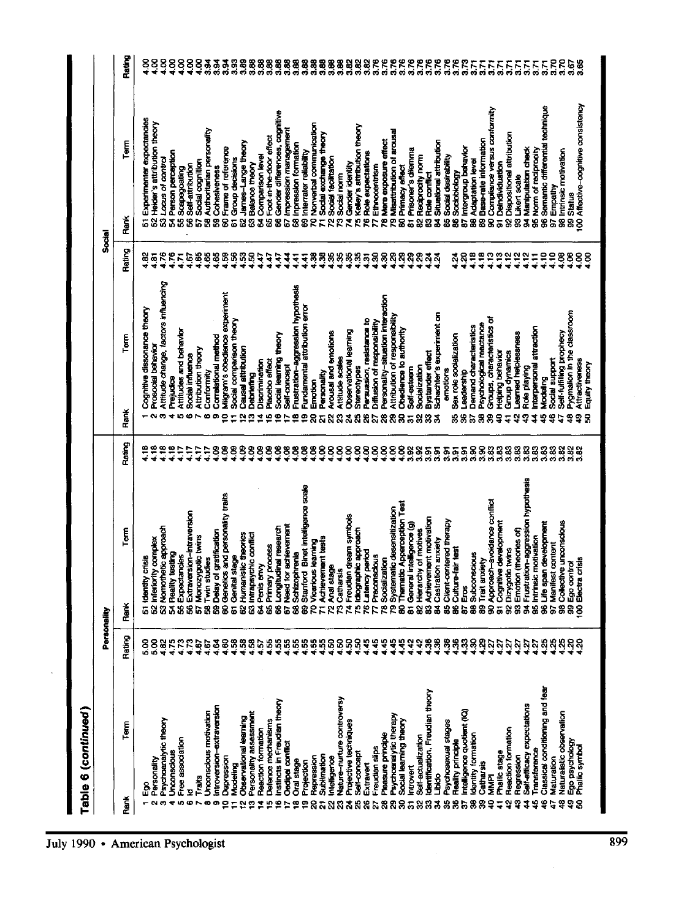|                | <b>Fable 6 (continued)</b>               |                              | Personality                                                     |               |           |                                               | Tecal                                |                                                  |                               |
|----------------|------------------------------------------|------------------------------|-----------------------------------------------------------------|---------------|-----------|-----------------------------------------------|--------------------------------------|--------------------------------------------------|-------------------------------|
| Rank           | Term                                     | Rating                       | Term<br>Rank                                                    | Rating        | Řank      | ۲em<br>ا                                      | <b>Rating</b>                        | Term<br>Rank                                     | Rating                        |
|                |                                          | ន្លី                         | 51 Identity crisis                                              | 4.18          |           | Cognitive dissonance theory                   | $rac{32}{4}$                         | Experimenter expectancies<br>5                   |                               |
|                | Personality                              | $\frac{8}{5}$                | 52 Inferiority complex                                          | $\frac{6}{2}$ | e         | Prosocial behavior                            | $rac{5}{4}$                          | Heider's attribution theory<br>$\overline{8}$    | ន្ទ                           |
| m              | Psychoanalytic theory                    | 4.82                         | 53 Nomothetic approach                                          | ី             |           | Attitude change, factors influencing          | 4.76                                 | Locus of control                                 |                               |
| ۰              | Unconscious                              | 4.75                         | 54 Reality testing                                              | $\frac{8}{4}$ |           | Prejudice                                     | 4.76                                 | Person perception<br>37                          | $\frac{88}{15}$               |
| in.            | Free association                         | 4.73                         | Expectancies<br>$\overline{3}$                                  | Ë             |           | Attitudes and behavior                        |                                      | Scapegoating<br>3                                |                               |
| $\bullet$      | Σ                                        | 4.73                         | 56 Extraversion-intraversion                                    | 417           |           | Social influence                              | 1.67                                 | Self-attribution                                 |                               |
|                | Traits                                   | 4.67                         | 57 Monozygotic twins                                            | $\ddot{1}$    |           | Attribution theory                            |                                      | Social cognition<br>858                          | 8883                          |
| œ              | Unconscious motivation                   | 4.67                         | 58 Twin studies                                                 | Ê             | $\bullet$ | Conformity                                    | 4.65                                 | Authoritarian personality                        |                               |
| ക              | Introversion-extraversion                |                              | <b>59 Delay of gratification</b>                                | <u>පි</u>     |           | Correlational method                          | 4.65                                 | Cohesiveness                                     |                               |
| ∘              | Depression                               |                              | 60 Genetics and personality traits                              | కి            | 0         | Vilgram's obedience experiment                | 1.59                                 | Frame of reference<br>38                         | ತ್ವತ್ವ                        |
| ۳              | Modeling                                 | रुङ्क<br>चर्च                | l stage<br>61 Genita                                            | 8             |           | Social comparison theory                      | $\frac{9}{2}$                        | Group decisions<br>$\overline{5}$                | 3.93                          |
| N              | Observational learning                   |                              | 62 Humanistic theories                                          | 8             |           | <b>Causel attribution</b>                     | ងុ                                   | James-Lange theory<br>g                          | 3.89                          |
| O              | Personality assessment                   | 4.58                         | 63 Intrapsychic conflict                                        | 8             | m         | Debriefing                                    | Ŗ                                    | Balance theory<br>8                              |                               |
|                | Reaction formation                       | 4.57                         | 64 Penis envy                                                   | 8             | ₹         | Discrimination                                | ίŤ,                                  | Comparison level                                 |                               |
| 40             | Defence mechanisms                       |                              | 65 Primary process                                              | 8             | L.        | Placebo effect                                | é,                                   | Foot-in-the-door effect<br>33                    |                               |
| œ              | Instincts in Freudian theory             |                              | 66 Longitudinal research                                        |               | Φ         | Social learning theory                        | ί¥,                                  | Gender differences, cognitive                    |                               |
| r              | Oedipal conflict                         | <b>8888</b>                  | Need for achievement<br>$\overline{5}$                          | 38            | N         | Self-concept                                  | 4                                    | Impression management<br>8 <sub>o</sub>          |                               |
| ∾              | Oral stage                               |                              | Schizophrenia<br>3                                              | 8             | œ         | Frustration-aggression hypothesis             | Ę                                    | Inpression formation<br>$\bar{\mathbf{z}}$       |                               |
| ഉ              | Projection                               |                              | Stanford Binet intelligence scale<br>$\ddot{\mathbf{z}}$        | 8             | Φ         | Fundamental attribution error                 | द                                    | Internater reliability<br>8                      |                               |
| ន              | Repression                               | <b>8888</b><br>****          | 70 Vicarious learning                                           | g             | 8         | Emotion                                       | Ŗ                                    | Nonverbal communication<br>g                     | 888888888<br>0000000000       |
|                | <b>Sublimation</b>                       |                              | 71 Achievement tests                                            | 8             |           | Personality                                   | Ŗ                                    | Sodal exchange theory<br>E,                      |                               |
| 웒              | Intelligence                             |                              | 72 Anal stage                                                   | 8             | Ñ         | Arousal and emotions                          | Ķ                                    | Social facilitation<br>ደ                         | 88<br>3.88                    |
|                | Nature-nurture controversy               |                              | 73 Catharsis                                                    | 8             | 8         | Attitude scales                               |                                      | Social norm                                      | 3.89                          |
|                | Projective techniques                    |                              | 74 Freudian dream symbols                                       | 8             | 지         | Observational learning                        |                                      | Gender identity<br>R <sub>x</sub>                | 3.82                          |
| និងនិន         | Self-concept                             | ន្ត្តន្ត្ត<br>$\frac{55}{4}$ | 75 Idiographic approach                                         | 8             | 8         | Stereotypes                                   | ន្តន្តន្តន្ត<br><del>។ ។ ។ ។ ។</del> | Kelley's attribution theory<br>Ŕ                 | 3.82                          |
|                | Extravert                                | 4.45                         | Latency period<br>$\overline{5}$                                | 8             | ж         | Persuasion, resistance to                     |                                      | Role expectations<br>ሮ                           | 3.82                          |
| ħ.             | Freudian slips                           | 4.45                         | 77 Preconscious                                                 | 8             | ы         | Diffusion of responsibility                   |                                      | Ethnocentrism<br>E                               |                               |
|                | Pleasure principle                       | 4.45                         | Socialization<br><br>ლ                                          | 8             | 8         | Personality-situation interaction             |                                      | Mere exposure effect<br>g                        |                               |
|                | Psychoenalytic therapy                   |                              | Systematic desensitization<br>g                                 | 8             | 8         | Attribution of responsibility                 | ន្តន្ត                               | Misattribution of arousal<br>ደ                   |                               |
|                | Sodal learning theory                    | 4542<br>4442                 | 80 Thematic Apperception Test                                   | 8             | 8         | Obedience to authority                        | $\frac{8}{4}$                        | Primacy effect                                   | <b>PPPPP</b><br><b>odd</b> oo |
|                | ntrovert                                 |                              | 81 General intelligence (g)                                     |               |           | Self-esteem                                   | $\frac{29}{2}$                       | Prisoner's dilemma<br>85                         |                               |
| 888588388588   | Self-ectualization                       | 4.42                         | 82 Hierarchy of motives                                         | 3.92          | ននន       | <b>Socialization</b>                          | 4.29                                 | Reciprocity norm<br>S,                           | 3.76                          |
|                | dentification, Freudian theory           | 36                           | 83 Achievement motivation                                       | $\frac{5}{3}$ |           | Bystander effect                              | $\frac{3}{4}$                        | Role conflict<br>g                               | 3.76                          |
|                | <b>SPART</b>                             | 4.36                         | 84 Castration anxiety                                           | $\frac{5}{3}$ |           | Schachter's experiment on                     | 4.24                                 | Situational attribution<br>Š.                    |                               |
|                | Psychosexual stages                      | 1.36                         | 85 Client-centered therapy                                      | ន្ល           |           | errottons                                     |                                      | Social desirability<br>335                       | <b>828</b><br>838             |
|                | <b>Reality principle</b>                 |                              | Culture-fair test<br>9                                          | 5<br>33       | 縣         | Sex role socialization                        | ಸ್ಥ<br>* *                           | Sociobiology                                     |                               |
|                | Intelligence quotlent (IQ)               | 838                          | 87 Eros                                                         | 3.91          | 窝         | Leadership                                    |                                      | Intergroup behavior                              | <b>S</b>                      |
|                | Identity formation                       |                              | 88 Subconscious                                                 | 88<br>ನನ      | ನಿ        | Demand characteristics                        | $\frac{18}{4}$                       | Adaptation level<br>8                            |                               |
|                | Catharsis                                |                              | 89 Trait anxiety                                                |               | 88        | Psychological reactance                       | 4.18                                 | Base-rate information<br>8                       |                               |
| 요              | MMPI                                     | ដ្ឋដូច្ន                     | 90 Approach-avoidance conflict                                  | 3.83<br>3.83  | ş         | Groups, characteristics of                    | 4.13<br>13                           | Compliance versus conformity<br>85               | EEEEEEEEE                     |
| $\overline{4}$ | Phallic stage                            |                              | 91 Cognitive development                                        |               |           | Helping behavior                              |                                      | Deindividuation                                  |                               |
| 92             | Reaction formation                       | 2                            | 92 Dizygotic twins<br>g                                         | 3.83<br>3.83  | ą<br>5    | Learned helplessness<br><b>Group dynamics</b> | $\frac{2}{4}$<br>4.12                | Dispositional attribution<br>$\overline{8}$<br>8 |                               |
| 2              | Self-efficacy expectations<br>Regression |                              | Emotion (theories of)                                           | 3.83          | ្នុ       | Role playing                                  | $\frac{2}{4}$                        | 94 Manipulation check<br>Likert scale            |                               |
| 땊              | <b>Fransference</b>                      | $\frac{27}{427}$             | 94 Frustration-aggression hypothesis<br>95 Intrinsic motivation | 3.83          | 1         | Interpersonal attraction                      | $\frac{1}{4}$                        | Norm of reciprocity<br>S                         |                               |
| 옾              | Classical conditioning and fear          | $^{125}$                     | 96 Life span development                                        | $\frac{3}{3}$ | 9         | Nodeling                                      | $\frac{1}{2}$                        | Semantic differential technique<br>96            |                               |
| ÷.             | Maturation                               | $\frac{25}{2}$               | 97 Manifest content                                             | 3.83          | S         | Social support                                | $\frac{1}{4}$                        | Empathy<br>5                                     |                               |
|                | Naturalistic observation                 | $^{25}$                      | 98 Collective unconscious                                       | 3.82          | 4         | Self-fulfilling prophecy                      | $\frac{8}{4}$                        | 98 Intrinsic motivation                          | 3.70                          |
| <b>??8</b>     | Ego psychology                           |                              | 99 Ego control                                                  |               | 앟         | Pygmalion in the classroom                    | 4,06                                 | 99 Status                                        |                               |
|                | Phallic symbol                           |                              | i crisis<br><b>IOO Electra</b>                                  | 3.82<br>3.82  | ş         | Attractiveness                                | $^{4.00}$                            | 00 Affective-cognitive consistency               | 3.85                          |
|                |                                          |                              |                                                                 |               | 8         | Equity theory                                 | $rac{8}{4}$                          |                                                  |                               |
|                |                                          |                              |                                                                 |               |           |                                               |                                      |                                                  |                               |

l,